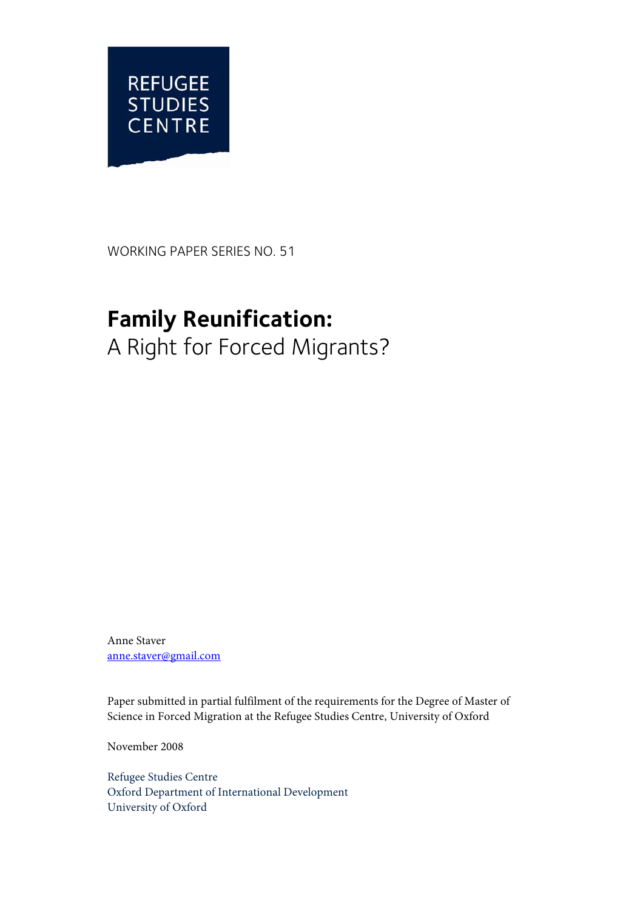

WORKING PAPER SERIES NO. 51

# **Family Reunification:**  A Right for Forced Migrants?

Anne Staver anne.staver@gmail.com

Paper submitted in partial fulfilment of the requirements for the Degree of Master of Science in Forced Migration at the Refugee Studies Centre, University of Oxford

November 2008

Refugee Studies Centre Oxford Department of International Development University of Oxford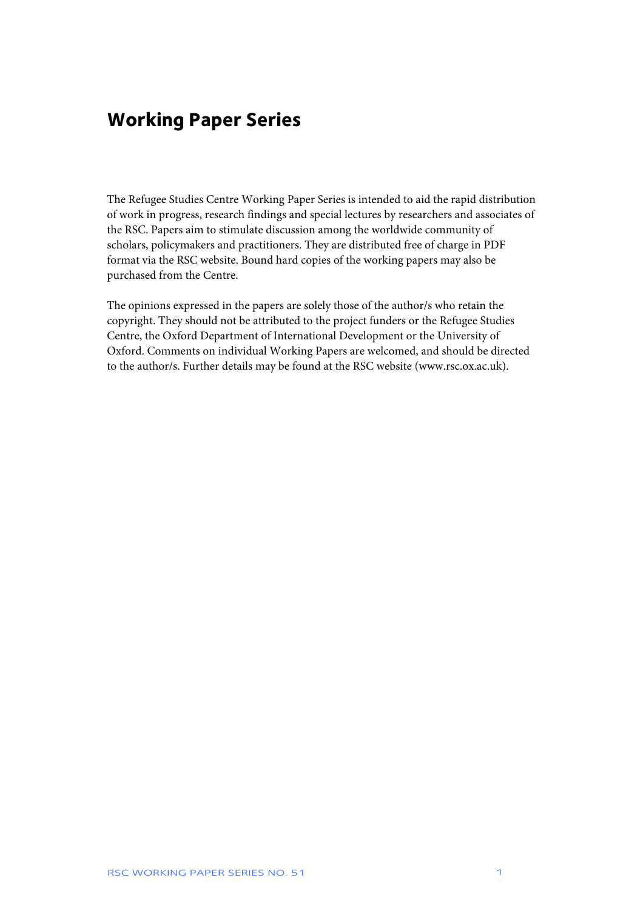## **Working Paper Series**

The Refugee Studies Centre Working Paper Series is intended to aid the rapid distribution of work in progress, research findings and special lectures by researchers and associates of the RSC. Papers aim to stimulate discussion among the worldwide community of scholars, policymakers and practitioners. They are distributed free of charge in PDF format via the RSC website. Bound hard copies of the working papers may also be purchased from the Centre.

The opinions expressed in the papers are solely those of the author/s who retain the copyright. They should not be attributed to the project funders or the Refugee Studies Centre, the Oxford Department of International Development or the University of Oxford. Comments on individual Working Papers are welcomed, and should be directed to the author/s. Further details may be found at the RSC website (www.rsc.ox.ac.uk).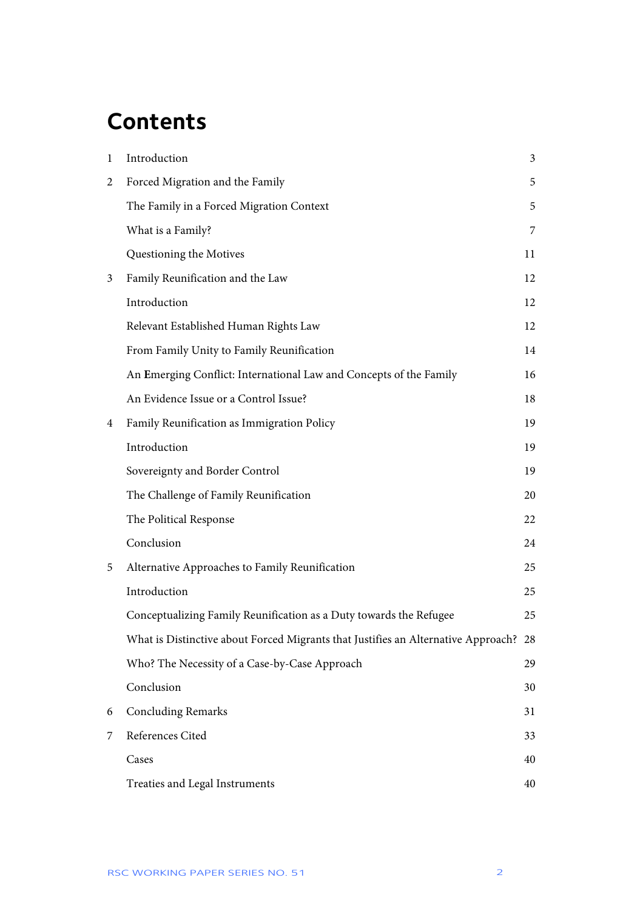# **Contents**

| $\mathbf{1}$ | Introduction                                                                         | 3  |
|--------------|--------------------------------------------------------------------------------------|----|
| 2            | Forced Migration and the Family                                                      | 5  |
|              | The Family in a Forced Migration Context                                             | 5  |
|              | What is a Family?                                                                    | 7  |
|              | Questioning the Motives                                                              | 11 |
| 3            | Family Reunification and the Law                                                     | 12 |
|              | Introduction                                                                         | 12 |
|              | Relevant Established Human Rights Law                                                | 12 |
|              | From Family Unity to Family Reunification                                            | 14 |
|              | An Emerging Conflict: International Law and Concepts of the Family                   | 16 |
|              | An Evidence Issue or a Control Issue?                                                | 18 |
| 4            | Family Reunification as Immigration Policy                                           | 19 |
|              | Introduction                                                                         | 19 |
|              | Sovereignty and Border Control                                                       | 19 |
|              | The Challenge of Family Reunification                                                | 20 |
|              | The Political Response                                                               | 22 |
|              | Conclusion                                                                           | 24 |
| 5            | Alternative Approaches to Family Reunification                                       | 25 |
|              | Introduction                                                                         | 25 |
|              | Conceptualizing Family Reunification as a Duty towards the Refugee                   | 25 |
|              | What is Distinctive about Forced Migrants that Justifies an Alternative Approach? 28 |    |
|              | Who? The Necessity of a Case-by-Case Approach                                        | 29 |
|              | Conclusion                                                                           | 30 |
| 6            | <b>Concluding Remarks</b>                                                            | 31 |
| 7            | References Cited                                                                     | 33 |
|              | Cases                                                                                | 40 |
|              | Treaties and Legal Instruments                                                       | 40 |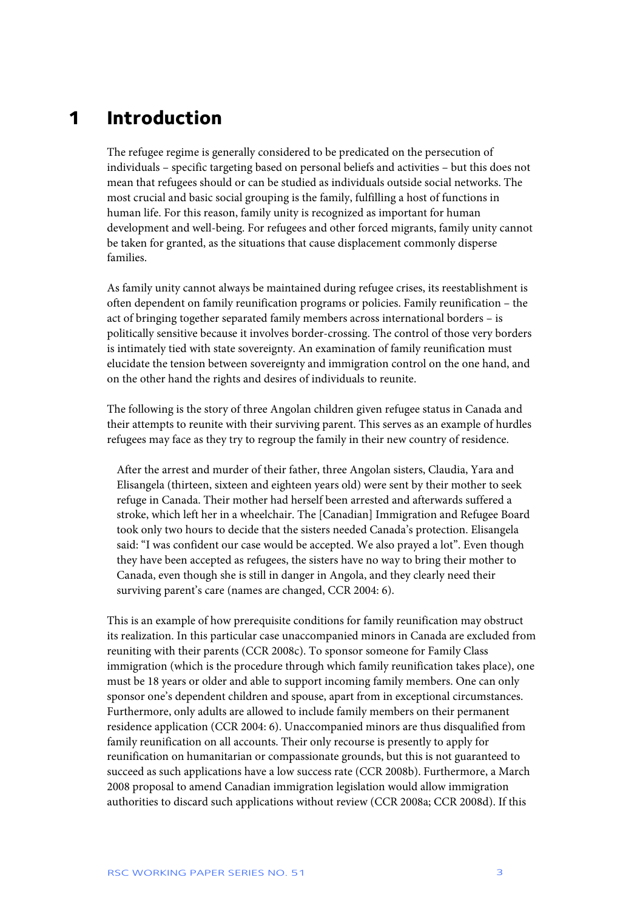## **1 Introduction**

The refugee regime is generally considered to be predicated on the persecution of individuals – specific targeting based on personal beliefs and activities – but this does not mean that refugees should or can be studied as individuals outside social networks. The most crucial and basic social grouping is the family, fulfilling a host of functions in human life. For this reason, family unity is recognized as important for human development and well-being. For refugees and other forced migrants, family unity cannot be taken for granted, as the situations that cause displacement commonly disperse families.

As family unity cannot always be maintained during refugee crises, its reestablishment is often dependent on family reunification programs or policies. Family reunification – the act of bringing together separated family members across international borders – is politically sensitive because it involves border-crossing. The control of those very borders is intimately tied with state sovereignty. An examination of family reunification must elucidate the tension between sovereignty and immigration control on the one hand, and on the other hand the rights and desires of individuals to reunite.

The following is the story of three Angolan children given refugee status in Canada and their attempts to reunite with their surviving parent. This serves as an example of hurdles refugees may face as they try to regroup the family in their new country of residence.

After the arrest and murder of their father, three Angolan sisters, Claudia, Yara and Elisangela (thirteen, sixteen and eighteen years old) were sent by their mother to seek refuge in Canada. Their mother had herself been arrested and afterwards suffered a stroke, which left her in a wheelchair. The [Canadian] Immigration and Refugee Board took only two hours to decide that the sisters needed Canada's protection. Elisangela said: "I was confident our case would be accepted. We also prayed a lot". Even though they have been accepted as refugees, the sisters have no way to bring their mother to Canada, even though she is still in danger in Angola, and they clearly need their surviving parent's care (names are changed, CCR 2004: 6).

This is an example of how prerequisite conditions for family reunification may obstruct its realization. In this particular case unaccompanied minors in Canada are excluded from reuniting with their parents (CCR 2008c). To sponsor someone for Family Class immigration (which is the procedure through which family reunification takes place), one must be 18 years or older and able to support incoming family members. One can only sponsor one's dependent children and spouse, apart from in exceptional circumstances. Furthermore, only adults are allowed to include family members on their permanent residence application (CCR 2004: 6). Unaccompanied minors are thus disqualified from family reunification on all accounts. Their only recourse is presently to apply for reunification on humanitarian or compassionate grounds, but this is not guaranteed to succeed as such applications have a low success rate (CCR 2008b). Furthermore, a March 2008 proposal to amend Canadian immigration legislation would allow immigration authorities to discard such applications without review (CCR 2008a; CCR 2008d). If this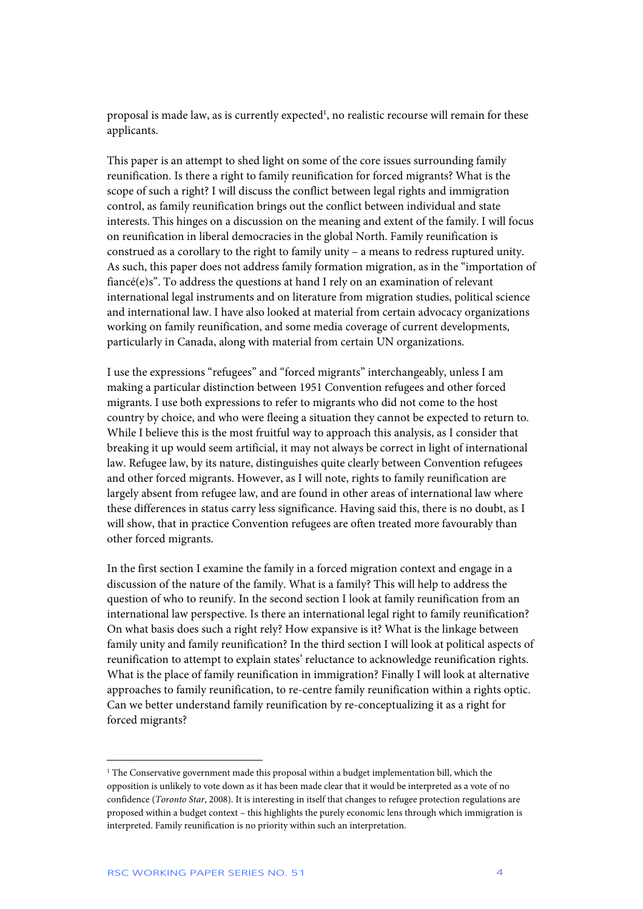proposal is made law, as is currently expected<sup>1</sup>, no realistic recourse will remain for these applicants.

This paper is an attempt to shed light on some of the core issues surrounding family reunification. Is there a right to family reunification for forced migrants? What is the scope of such a right? I will discuss the conflict between legal rights and immigration control, as family reunification brings out the conflict between individual and state interests. This hinges on a discussion on the meaning and extent of the family. I will focus on reunification in liberal democracies in the global North. Family reunification is construed as a corollary to the right to family unity – a means to redress ruptured unity. As such, this paper does not address family formation migration, as in the "importation of fiancé(e)s". To address the questions at hand I rely on an examination of relevant international legal instruments and on literature from migration studies, political science and international law. I have also looked at material from certain advocacy organizations working on family reunification, and some media coverage of current developments, particularly in Canada, along with material from certain UN organizations.

I use the expressions "refugees" and "forced migrants" interchangeably, unless I am making a particular distinction between 1951 Convention refugees and other forced migrants. I use both expressions to refer to migrants who did not come to the host country by choice, and who were fleeing a situation they cannot be expected to return to. While I believe this is the most fruitful way to approach this analysis, as I consider that breaking it up would seem artificial, it may not always be correct in light of international law. Refugee law, by its nature, distinguishes quite clearly between Convention refugees and other forced migrants. However, as I will note, rights to family reunification are largely absent from refugee law, and are found in other areas of international law where these differences in status carry less significance. Having said this, there is no doubt, as I will show, that in practice Convention refugees are often treated more favourably than other forced migrants.

In the first section I examine the family in a forced migration context and engage in a discussion of the nature of the family. What is a family? This will help to address the question of who to reunify. In the second section I look at family reunification from an international law perspective. Is there an international legal right to family reunification? On what basis does such a right rely? How expansive is it? What is the linkage between family unity and family reunification? In the third section I will look at political aspects of reunification to attempt to explain states' reluctance to acknowledge reunification rights. What is the place of family reunification in immigration? Finally I will look at alternative approaches to family reunification, to re-centre family reunification within a rights optic. Can we better understand family reunification by re-conceptualizing it as a right for forced migrants?

<sup>1</sup> The Conservative government made this proposal within a budget implementation bill, which the opposition is unlikely to vote down as it has been made clear that it would be interpreted as a vote of no confidence (*Toronto Star*, 2008). It is interesting in itself that changes to refugee protection regulations are proposed within a budget context – this highlights the purely economic lens through which immigration is interpreted. Family reunification is no priority within such an interpretation.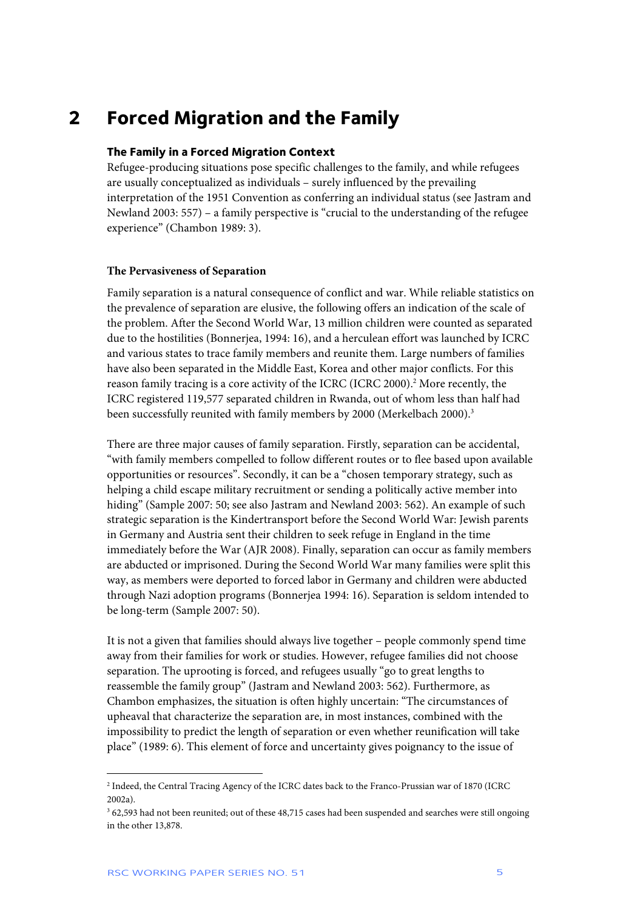## **2 Forced Migration and the Family**

## **The Family in a Forced Migration Context**

Refugee-producing situations pose specific challenges to the family, and while refugees are usually conceptualized as individuals – surely influenced by the prevailing interpretation of the 1951 Convention as conferring an individual status (see Jastram and Newland 2003: 557) – a family perspective is "crucial to the understanding of the refugee experience" (Chambon 1989: 3).

## **The Pervasiveness of Separation**

Family separation is a natural consequence of conflict and war. While reliable statistics on the prevalence of separation are elusive, the following offers an indication of the scale of the problem. After the Second World War, 13 million children were counted as separated due to the hostilities (Bonnerjea, 1994: 16), and a herculean effort was launched by ICRC and various states to trace family members and reunite them. Large numbers of families have also been separated in the Middle East, Korea and other major conflicts. For this reason family tracing is a core activity of the ICRC (ICRC 2000).<sup>2</sup> More recently, the ICRC registered 119,577 separated children in Rwanda, out of whom less than half had been successfully reunited with family members by 2000 (Merkelbach 2000).<sup>3</sup>

There are three major causes of family separation. Firstly, separation can be accidental, "with family members compelled to follow different routes or to flee based upon available opportunities or resources". Secondly, it can be a "chosen temporary strategy, such as helping a child escape military recruitment or sending a politically active member into hiding" (Sample 2007: 50; see also Jastram and Newland 2003: 562). An example of such strategic separation is the Kindertransport before the Second World War: Jewish parents in Germany and Austria sent their children to seek refuge in England in the time immediately before the War (AJR 2008). Finally, separation can occur as family members are abducted or imprisoned. During the Second World War many families were split this way, as members were deported to forced labor in Germany and children were abducted through Nazi adoption programs (Bonnerjea 1994: 16). Separation is seldom intended to be long-term (Sample 2007: 50).

It is not a given that families should always live together – people commonly spend time away from their families for work or studies. However, refugee families did not choose separation. The uprooting is forced, and refugees usually "go to great lengths to reassemble the family group" (Jastram and Newland 2003: 562). Furthermore, as Chambon emphasizes, the situation is often highly uncertain: "The circumstances of upheaval that characterize the separation are, in most instances, combined with the impossibility to predict the length of separation or even whether reunification will take place" (1989: 6). This element of force and uncertainty gives poignancy to the issue of

<sup>2</sup> Indeed, the Central Tracing Agency of the ICRC dates back to the Franco-Prussian war of 1870 (ICRC 2002a).

<sup>&</sup>lt;sup>3</sup> 62,593 had not been reunited; out of these 48,715 cases had been suspended and searches were still ongoing in the other 13,878.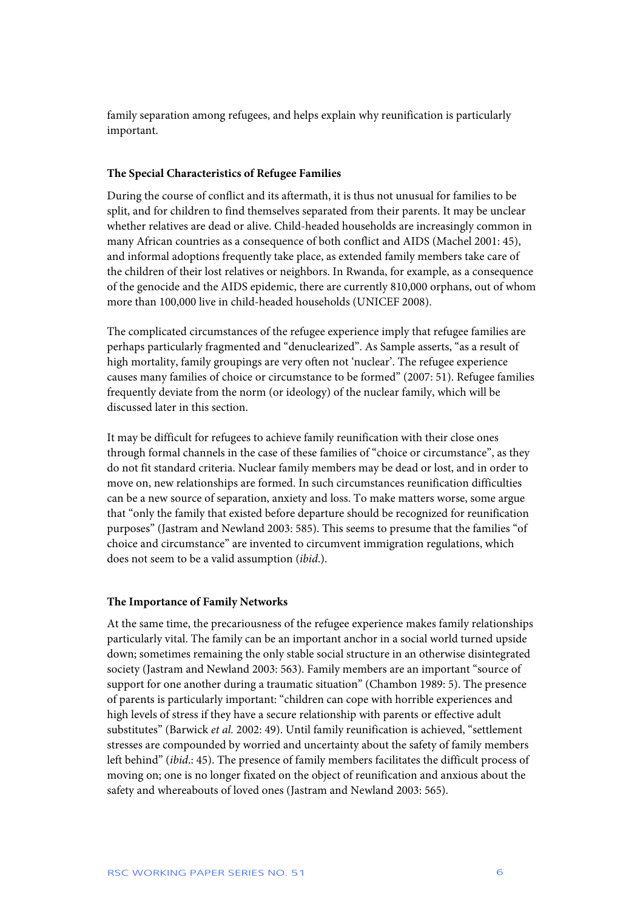family separation among refugees, and helps explain why reunification is particularly important.

## **The Special Characteristics of Refugee Families**

During the course of conflict and its aftermath, it is thus not unusual for families to be split, and for children to find themselves separated from their parents. It may be unclear whether relatives are dead or alive. Child-headed households are increasingly common in many African countries as a consequence of both conflict and AIDS (Machel 2001: 45), and informal adoptions frequently take place, as extended family members take care of the children of their lost relatives or neighbors. In Rwanda, for example, as a consequence of the genocide and the AIDS epidemic, there are currently 810,000 orphans, out of whom more than 100,000 live in child-headed households (UNICEF 2008).

The complicated circumstances of the refugee experience imply that refugee families are perhaps particularly fragmented and "denuclearized". As Sample asserts, "as a result of high mortality, family groupings are very often not 'nuclear'. The refugee experience causes many families of choice or circumstance to be formed" (2007: 51). Refugee families frequently deviate from the norm (or ideology) of the nuclear family, which will be discussed later in this section.

It may be difficult for refugees to achieve family reunification with their close ones through formal channels in the case of these families of "choice or circumstance", as they do not fit standard criteria. Nuclear family members may be dead or lost, and in order to move on, new relationships are formed. In such circumstances reunification difficulties can be a new source of separation, anxiety and loss. To make matters worse, some argue that "only the family that existed before departure should be recognized for reunification purposes" (Jastram and Newland 2003: 585). This seems to presume that the families "of choice and circumstance" are invented to circumvent immigration regulations, which does not seem to be a valid assumption (*ibid*.).

### **The Importance of Family Networks**

At the same time, the precariousness of the refugee experience makes family relationships particularly vital. The family can be an important anchor in a social world turned upside down; sometimes remaining the only stable social structure in an otherwise disintegrated society (Jastram and Newland 2003: 563). Family members are an important "source of support for one another during a traumatic situation" (Chambon 1989: 5). The presence of parents is particularly important: "children can cope with horrible experiences and high levels of stress if they have a secure relationship with parents or effective adult substitutes" (Barwick *et al.* 2002: 49). Until family reunification is achieved, "settlement stresses are compounded by worried and uncertainty about the safety of family members left behind" (*ibid*.: 45). The presence of family members facilitates the difficult process of moving on; one is no longer fixated on the object of reunification and anxious about the safety and whereabouts of loved ones (Jastram and Newland 2003: 565).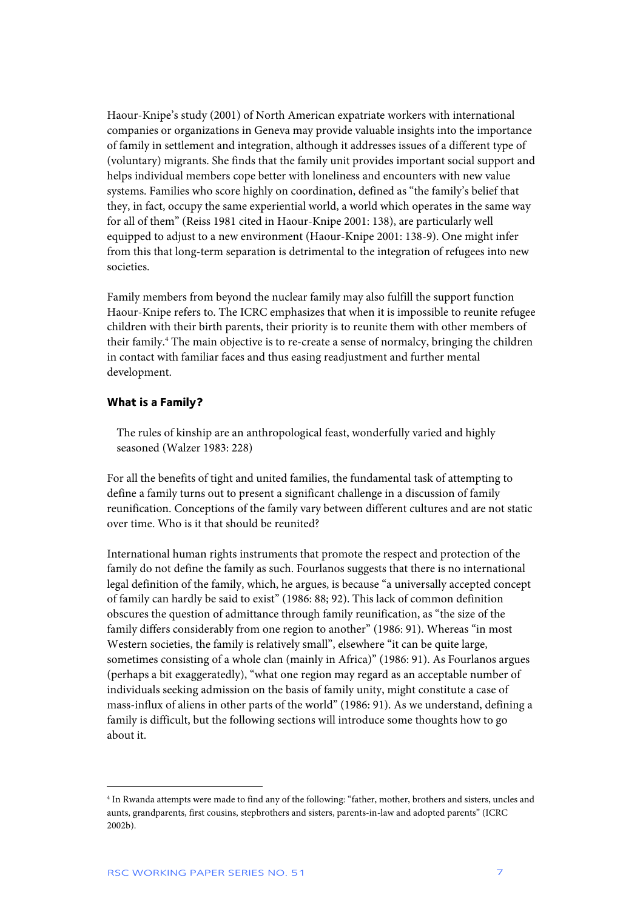Haour-Knipe's study (2001) of North American expatriate workers with international companies or organizations in Geneva may provide valuable insights into the importance of family in settlement and integration, although it addresses issues of a different type of (voluntary) migrants. She finds that the family unit provides important social support and helps individual members cope better with loneliness and encounters with new value systems. Families who score highly on coordination, defined as "the family's belief that they, in fact, occupy the same experiential world, a world which operates in the same way for all of them" (Reiss 1981 cited in Haour-Knipe 2001: 138), are particularly well equipped to adjust to a new environment (Haour-Knipe 2001: 138-9). One might infer from this that long-term separation is detrimental to the integration of refugees into new societies.

Family members from beyond the nuclear family may also fulfill the support function Haour-Knipe refers to. The ICRC emphasizes that when it is impossible to reunite refugee children with their birth parents, their priority is to reunite them with other members of their family.<sup>4</sup> The main objective is to re-create a sense of normalcy, bringing the children in contact with familiar faces and thus easing readjustment and further mental development.

### **What is a Family?**

The rules of kinship are an anthropological feast, wonderfully varied and highly seasoned (Walzer 1983: 228)

For all the benefits of tight and united families, the fundamental task of attempting to define a family turns out to present a significant challenge in a discussion of family reunification. Conceptions of the family vary between different cultures and are not static over time. Who is it that should be reunited?

International human rights instruments that promote the respect and protection of the family do not define the family as such. Fourlanos suggests that there is no international legal definition of the family, which, he argues, is because "a universally accepted concept of family can hardly be said to exist" (1986: 88; 92). This lack of common definition obscures the question of admittance through family reunification, as "the size of the family differs considerably from one region to another" (1986: 91). Whereas "in most Western societies, the family is relatively small", elsewhere "it can be quite large, sometimes consisting of a whole clan (mainly in Africa)" (1986: 91). As Fourlanos argues (perhaps a bit exaggeratedly), "what one region may regard as an acceptable number of individuals seeking admission on the basis of family unity, might constitute a case of mass-influx of aliens in other parts of the world" (1986: 91). As we understand, defining a family is difficult, but the following sections will introduce some thoughts how to go about it.

<sup>4</sup> In Rwanda attempts were made to find any of the following: "father, mother, brothers and sisters, uncles and aunts, grandparents, first cousins, stepbrothers and sisters, parents-in-law and adopted parents" (ICRC 2002b).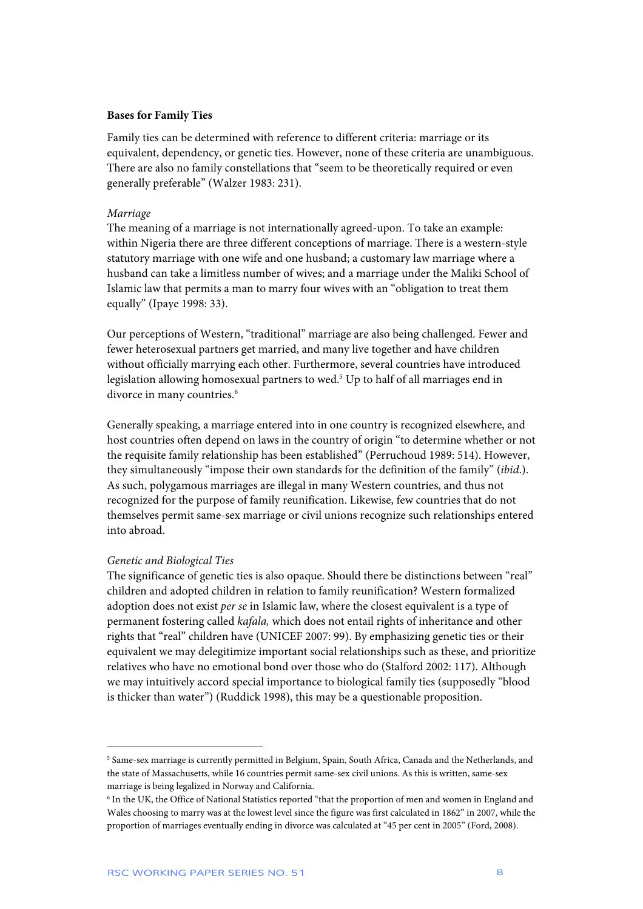### **Bases for Family Ties**

Family ties can be determined with reference to different criteria: marriage or its equivalent, dependency, or genetic ties. However, none of these criteria are unambiguous. There are also no family constellations that "seem to be theoretically required or even generally preferable" (Walzer 1983: 231).

#### *Marriage*

The meaning of a marriage is not internationally agreed-upon. To take an example: within Nigeria there are three different conceptions of marriage. There is a western-style statutory marriage with one wife and one husband; a customary law marriage where a husband can take a limitless number of wives; and a marriage under the Maliki School of Islamic law that permits a man to marry four wives with an "obligation to treat them equally" (Ipaye 1998: 33).

Our perceptions of Western, "traditional" marriage are also being challenged. Fewer and fewer heterosexual partners get married, and many live together and have children without officially marrying each other. Furthermore, several countries have introduced legislation allowing homosexual partners to wed.<sup>5</sup> Up to half of all marriages end in divorce in many countries.<sup>6</sup>

Generally speaking, a marriage entered into in one country is recognized elsewhere, and host countries often depend on laws in the country of origin "to determine whether or not the requisite family relationship has been established" (Perruchoud 1989: 514). However, they simultaneously "impose their own standards for the definition of the family" (*ibid*.). As such, polygamous marriages are illegal in many Western countries, and thus not recognized for the purpose of family reunification. Likewise, few countries that do not themselves permit same-sex marriage or civil unions recognize such relationships entered into abroad.

### *Genetic and Biological Ties*

 $\overline{a}$ 

The significance of genetic ties is also opaque. Should there be distinctions between "real" children and adopted children in relation to family reunification? Western formalized adoption does not exist *per se* in Islamic law, where the closest equivalent is a type of permanent fostering called *kafala,* which does not entail rights of inheritance and other rights that "real" children have (UNICEF 2007: 99). By emphasizing genetic ties or their equivalent we may delegitimize important social relationships such as these, and prioritize relatives who have no emotional bond over those who do (Stalford 2002: 117). Although we may intuitively accord special importance to biological family ties (supposedly "blood is thicker than water") (Ruddick 1998), this may be a questionable proposition.

<sup>5</sup> Same-sex marriage is currently permitted in Belgium, Spain, South Africa, Canada and the Netherlands, and the state of Massachusetts, while 16 countries permit same-sex civil unions. As this is written, same-sex marriage is being legalized in Norway and California.

<sup>6</sup> In the UK, the Office of National Statistics reported "that the proportion of men and women in England and Wales choosing to marry was at the lowest level since the figure was first calculated in 1862" in 2007, while the proportion of marriages eventually ending in divorce was calculated at "45 per cent in 2005" (Ford, 2008).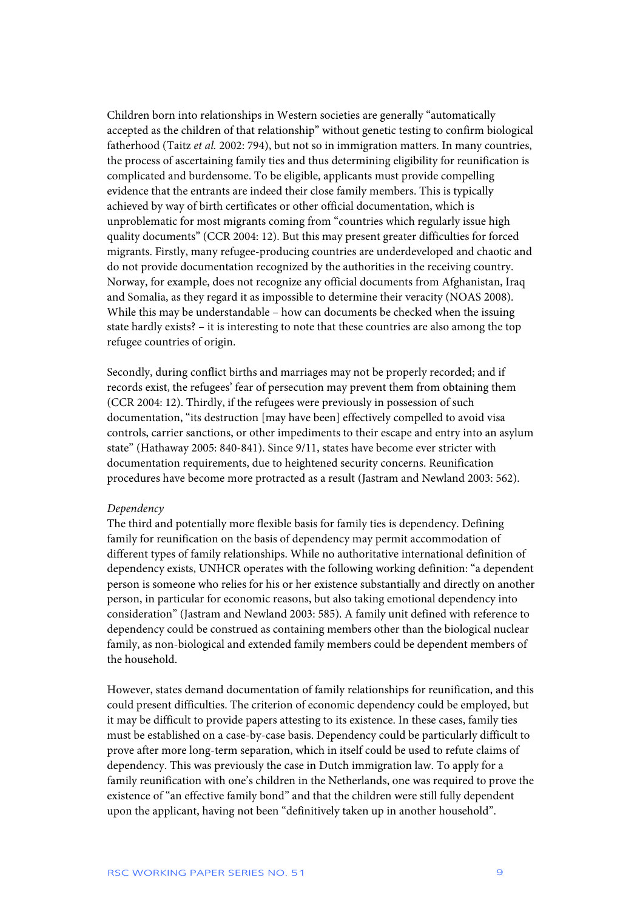Children born into relationships in Western societies are generally "automatically accepted as the children of that relationship" without genetic testing to confirm biological fatherhood (Taitz *et al.* 2002: 794), but not so in immigration matters. In many countries, the process of ascertaining family ties and thus determining eligibility for reunification is complicated and burdensome. To be eligible, applicants must provide compelling evidence that the entrants are indeed their close family members. This is typically achieved by way of birth certificates or other official documentation, which is unproblematic for most migrants coming from "countries which regularly issue high quality documents" (CCR 2004: 12). But this may present greater difficulties for forced migrants. Firstly, many refugee-producing countries are underdeveloped and chaotic and do not provide documentation recognized by the authorities in the receiving country. Norway, for example, does not recognize any official documents from Afghanistan, Iraq and Somalia, as they regard it as impossible to determine their veracity (NOAS 2008). While this may be understandable – how can documents be checked when the issuing state hardly exists? – it is interesting to note that these countries are also among the top refugee countries of origin.

Secondly, during conflict births and marriages may not be properly recorded; and if records exist, the refugees' fear of persecution may prevent them from obtaining them (CCR 2004: 12). Thirdly, if the refugees were previously in possession of such documentation, "its destruction [may have been] effectively compelled to avoid visa controls, carrier sanctions, or other impediments to their escape and entry into an asylum state" (Hathaway 2005: 840-841). Since 9/11, states have become ever stricter with documentation requirements, due to heightened security concerns. Reunification procedures have become more protracted as a result (Jastram and Newland 2003: 562).

### *Dependency*

The third and potentially more flexible basis for family ties is dependency. Defining family for reunification on the basis of dependency may permit accommodation of different types of family relationships. While no authoritative international definition of dependency exists, UNHCR operates with the following working definition: "a dependent person is someone who relies for his or her existence substantially and directly on another person, in particular for economic reasons, but also taking emotional dependency into consideration" (Jastram and Newland 2003: 585). A family unit defined with reference to dependency could be construed as containing members other than the biological nuclear family, as non-biological and extended family members could be dependent members of the household.

However, states demand documentation of family relationships for reunification, and this could present difficulties. The criterion of economic dependency could be employed, but it may be difficult to provide papers attesting to its existence. In these cases, family ties must be established on a case-by-case basis. Dependency could be particularly difficult to prove after more long-term separation, which in itself could be used to refute claims of dependency. This was previously the case in Dutch immigration law. To apply for a family reunification with one's children in the Netherlands, one was required to prove the existence of "an effective family bond" and that the children were still fully dependent upon the applicant, having not been "definitively taken up in another household".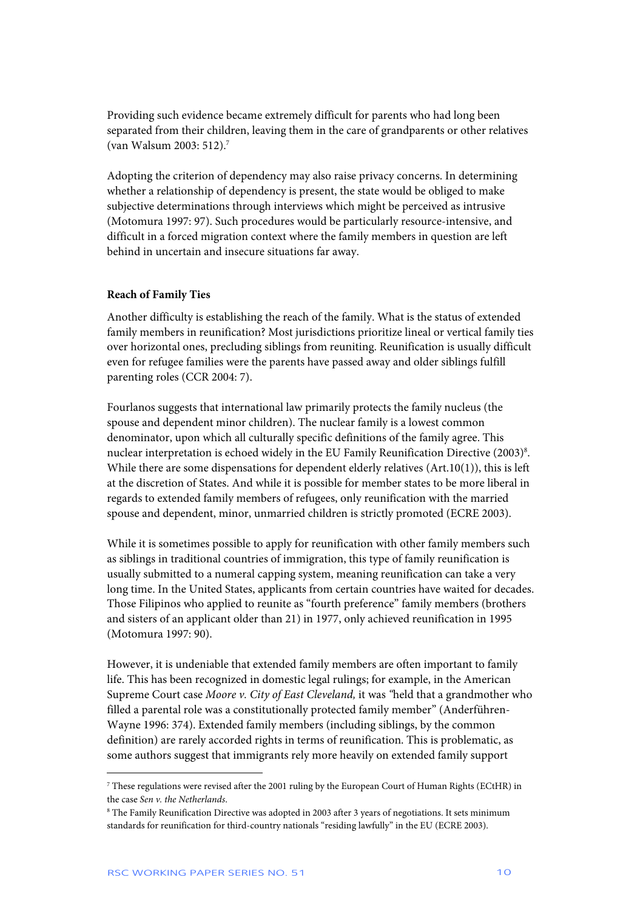Providing such evidence became extremely difficult for parents who had long been separated from their children, leaving them in the care of grandparents or other relatives (van Walsum 2003: 512).7

Adopting the criterion of dependency may also raise privacy concerns. In determining whether a relationship of dependency is present, the state would be obliged to make subjective determinations through interviews which might be perceived as intrusive (Motomura 1997: 97). Such procedures would be particularly resource-intensive, and difficult in a forced migration context where the family members in question are left behind in uncertain and insecure situations far away.

## **Reach of Family Ties**

Another difficulty is establishing the reach of the family. What is the status of extended family members in reunification? Most jurisdictions prioritize lineal or vertical family ties over horizontal ones, precluding siblings from reuniting. Reunification is usually difficult even for refugee families were the parents have passed away and older siblings fulfill parenting roles (CCR 2004: 7).

Fourlanos suggests that international law primarily protects the family nucleus (the spouse and dependent minor children). The nuclear family is a lowest common denominator, upon which all culturally specific definitions of the family agree. This nuclear interpretation is echoed widely in the EU Family Reunification Directive (2003)<sup>8</sup>. While there are some dispensations for dependent elderly relatives (Art.10(1)), this is left at the discretion of States. And while it is possible for member states to be more liberal in regards to extended family members of refugees, only reunification with the married spouse and dependent, minor, unmarried children is strictly promoted (ECRE 2003).

While it is sometimes possible to apply for reunification with other family members such as siblings in traditional countries of immigration, this type of family reunification is usually submitted to a numeral capping system, meaning reunification can take a very long time. In the United States, applicants from certain countries have waited for decades. Those Filipinos who applied to reunite as "fourth preference" family members (brothers and sisters of an applicant older than 21) in 1977, only achieved reunification in 1995 (Motomura 1997: 90).

However, it is undeniable that extended family members are often important to family life. This has been recognized in domestic legal rulings; for example, in the American Supreme Court case *Moore v. City of East Cleveland,* it was *"*held that a grandmother who filled a parental role was a constitutionally protected family member" (Anderführen-Wayne 1996: 374). Extended family members (including siblings, by the common definition) are rarely accorded rights in terms of reunification. This is problematic, as some authors suggest that immigrants rely more heavily on extended family support

ֺ

<sup>7</sup> These regulations were revised after the 2001 ruling by the European Court of Human Rights (ECtHR) in the case *Sen v. the Netherlands*.

<sup>8</sup> The Family Reunification Directive was adopted in 2003 after 3 years of negotiations. It sets minimum standards for reunification for third-country nationals "residing lawfully" in the EU (ECRE 2003).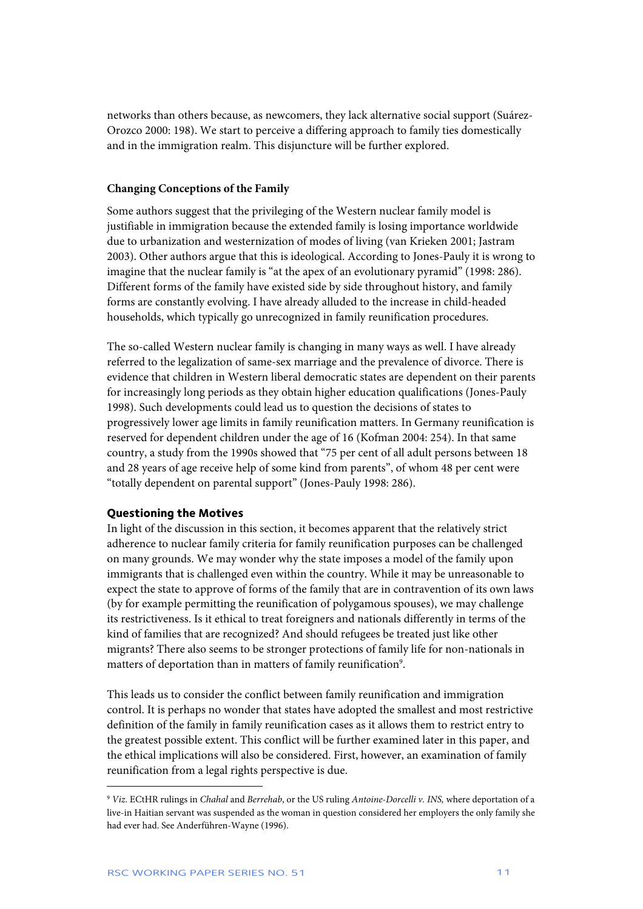networks than others because, as newcomers, they lack alternative social support (Suárez-Orozco 2000: 198). We start to perceive a differing approach to family ties domestically and in the immigration realm. This disjuncture will be further explored.

## **Changing Conceptions of the Family**

Some authors suggest that the privileging of the Western nuclear family model is justifiable in immigration because the extended family is losing importance worldwide due to urbanization and westernization of modes of living (van Krieken 2001; Jastram 2003). Other authors argue that this is ideological. According to Jones-Pauly it is wrong to imagine that the nuclear family is "at the apex of an evolutionary pyramid" (1998: 286). Different forms of the family have existed side by side throughout history, and family forms are constantly evolving. I have already alluded to the increase in child-headed households, which typically go unrecognized in family reunification procedures.

The so-called Western nuclear family is changing in many ways as well. I have already referred to the legalization of same-sex marriage and the prevalence of divorce. There is evidence that children in Western liberal democratic states are dependent on their parents for increasingly long periods as they obtain higher education qualifications (Jones-Pauly 1998). Such developments could lead us to question the decisions of states to progressively lower age limits in family reunification matters. In Germany reunification is reserved for dependent children under the age of 16 (Kofman 2004: 254). In that same country, a study from the 1990s showed that "75 per cent of all adult persons between 18 and 28 years of age receive help of some kind from parents", of whom 48 per cent were "totally dependent on parental support" (Jones-Pauly 1998: 286).

## **Questioning the Motives**

In light of the discussion in this section, it becomes apparent that the relatively strict adherence to nuclear family criteria for family reunification purposes can be challenged on many grounds. We may wonder why the state imposes a model of the family upon immigrants that is challenged even within the country. While it may be unreasonable to expect the state to approve of forms of the family that are in contravention of its own laws (by for example permitting the reunification of polygamous spouses), we may challenge its restrictiveness. Is it ethical to treat foreigners and nationals differently in terms of the kind of families that are recognized? And should refugees be treated just like other migrants? There also seems to be stronger protections of family life for non-nationals in matters of deportation than in matters of family reunification<sup>9</sup>.

This leads us to consider the conflict between family reunification and immigration control. It is perhaps no wonder that states have adopted the smallest and most restrictive definition of the family in family reunification cases as it allows them to restrict entry to the greatest possible extent. This conflict will be further examined later in this paper, and the ethical implications will also be considered. First, however, an examination of family reunification from a legal rights perspective is due.

<sup>9</sup> *Viz*. ECtHR rulings in *Chahal* and *Berrehab*, or the US ruling *Antoine-Dorcelli v. INS,* where deportation of a live-in Haitian servant was suspended as the woman in question considered her employers the only family she had ever had. See Anderführen-Wayne (1996).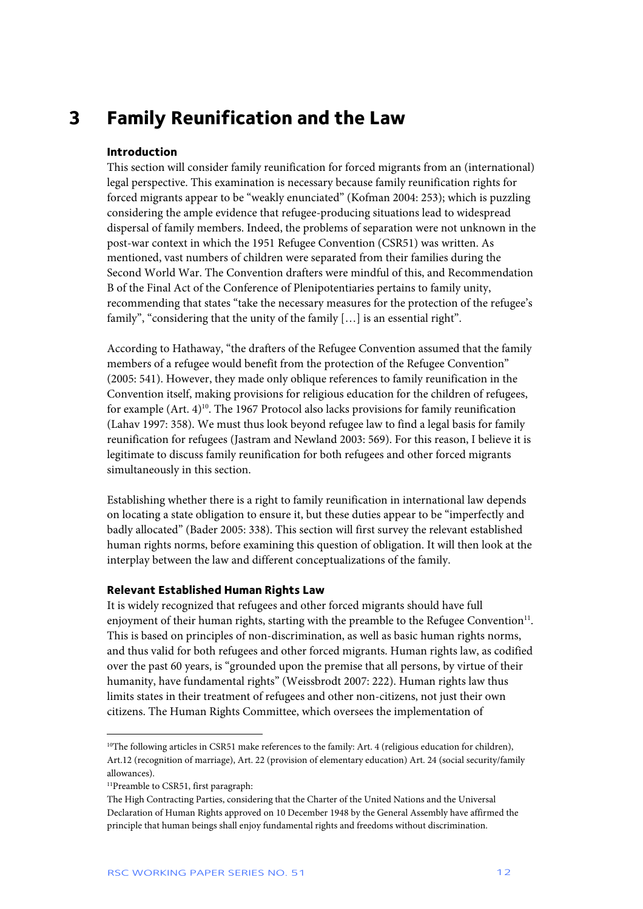## **3 Family Reunification and the Law**

## **Introduction**

This section will consider family reunification for forced migrants from an (international) legal perspective. This examination is necessary because family reunification rights for forced migrants appear to be "weakly enunciated" (Kofman 2004: 253); which is puzzling considering the ample evidence that refugee-producing situations lead to widespread dispersal of family members. Indeed, the problems of separation were not unknown in the post-war context in which the 1951 Refugee Convention (CSR51) was written. As mentioned, vast numbers of children were separated from their families during the Second World War. The Convention drafters were mindful of this, and Recommendation B of the Final Act of the Conference of Plenipotentiaries pertains to family unity, recommending that states "take the necessary measures for the protection of the refugee's family", "considering that the unity of the family [...] is an essential right".

According to Hathaway, "the drafters of the Refugee Convention assumed that the family members of a refugee would benefit from the protection of the Refugee Convention" (2005: 541). However, they made only oblique references to family reunification in the Convention itself, making provisions for religious education for the children of refugees, for example  $(Art. 4)^{10}$ . The 1967 Protocol also lacks provisions for family reunification (Lahav 1997: 358). We must thus look beyond refugee law to find a legal basis for family reunification for refugees (Jastram and Newland 2003: 569). For this reason, I believe it is legitimate to discuss family reunification for both refugees and other forced migrants simultaneously in this section.

Establishing whether there is a right to family reunification in international law depends on locating a state obligation to ensure it, but these duties appear to be "imperfectly and badly allocated" (Bader 2005: 338). This section will first survey the relevant established human rights norms, before examining this question of obligation. It will then look at the interplay between the law and different conceptualizations of the family.

## **Relevant Established Human Rights Law**

It is widely recognized that refugees and other forced migrants should have full enjoyment of their human rights, starting with the preamble to the Refugee Convention $1<sup>11</sup>$ . This is based on principles of non-discrimination, as well as basic human rights norms, and thus valid for both refugees and other forced migrants. Human rights law, as codified over the past 60 years, is "grounded upon the premise that all persons, by virtue of their humanity, have fundamental rights" (Weissbrodt 2007: 222). Human rights law thus limits states in their treatment of refugees and other non-citizens, not just their own citizens. The Human Rights Committee, which oversees the implementation of

j

<sup>&</sup>lt;sup>10</sup>The following articles in CSR51 make references to the family: Art. 4 (religious education for children), Art.12 (recognition of marriage), Art. 22 (provision of elementary education) Art. 24 (social security/family allowances).

<sup>&</sup>lt;sup>11</sup>Preamble to CSR51, first paragraph:

The High Contracting Parties, considering that the Charter of the United Nations and the Universal Declaration of Human Rights approved on 10 December 1948 by the General Assembly have affirmed the principle that human beings shall enjoy fundamental rights and freedoms without discrimination.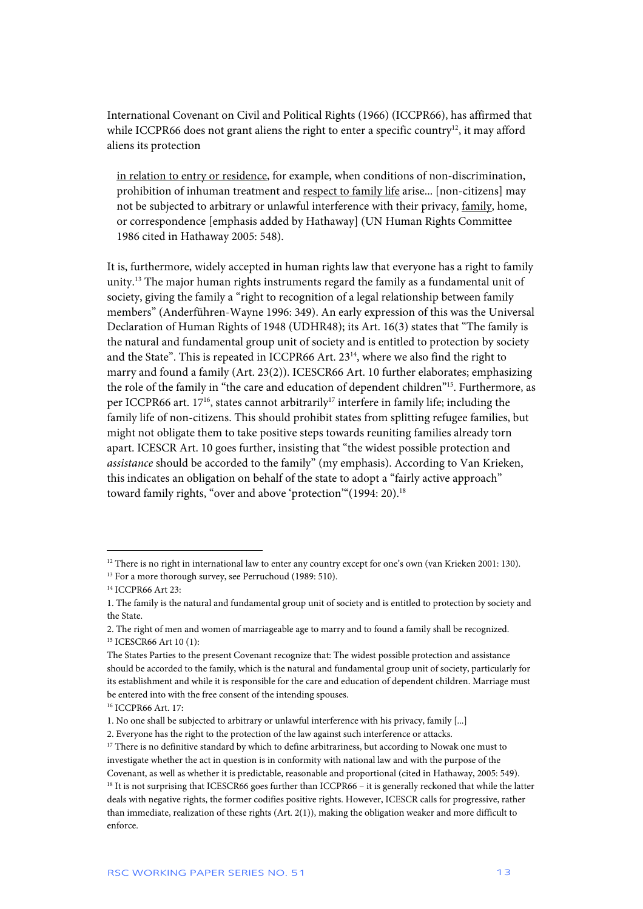International Covenant on Civil and Political Rights (1966) (ICCPR66), has affirmed that while ICCPR66 does not grant aliens the right to enter a specific country<sup>12</sup>, it may afford aliens its protection

in relation to entry or residence, for example, when conditions of non-discrimination, prohibition of inhuman treatment and respect to family life arise... [non-citizens] may not be subjected to arbitrary or unlawful interference with their privacy, family, home, or correspondence [emphasis added by Hathaway] (UN Human Rights Committee 1986 cited in Hathaway 2005: 548).

It is, furthermore, widely accepted in human rights law that everyone has a right to family unity.13 The major human rights instruments regard the family as a fundamental unit of society, giving the family a "right to recognition of a legal relationship between family members" (Anderführen-Wayne 1996: 349). An early expression of this was the Universal Declaration of Human Rights of 1948 (UDHR48); its Art. 16(3) states that "The family is the natural and fundamental group unit of society and is entitled to protection by society and the State". This is repeated in ICCPR66 Art. 23<sup>14</sup>, where we also find the right to marry and found a family (Art. 23(2)). ICESCR66 Art. 10 further elaborates; emphasizing the role of the family in "the care and education of dependent children"15. Furthermore, as per ICCPR66 art. 17<sup>16</sup>, states cannot arbitrarily<sup>17</sup> interfere in family life; including the family life of non-citizens. This should prohibit states from splitting refugee families, but might not obligate them to take positive steps towards reuniting families already torn apart. ICESCR Art. 10 goes further, insisting that "the widest possible protection and *assistance* should be accorded to the family" (my emphasis). According to Van Krieken, this indicates an obligation on behalf of the state to adopt a "fairly active approach" toward family rights, "over and above 'protection" (1994: 20).<sup>18</sup>

<sup>&</sup>lt;sup>12</sup> There is no right in international law to enter any country except for one's own (van Krieken 2001: 130).

<sup>&</sup>lt;sup>13</sup> For a more thorough survey, see Perruchoud (1989: 510).

<sup>14</sup> ICCPR66 Art 23:

<sup>1.</sup> The family is the natural and fundamental group unit of society and is entitled to protection by society and the State.

<sup>2.</sup> The right of men and women of marriageable age to marry and to found a family shall be recognized. 15 ICESCR66 Art 10 (1):

The States Parties to the present Covenant recognize that: The widest possible protection and assistance should be accorded to the family, which is the natural and fundamental group unit of society, particularly for its establishment and while it is responsible for the care and education of dependent children. Marriage must be entered into with the free consent of the intending spouses.

<sup>16</sup> ICCPR66 Art. 17:

<sup>1.</sup> No one shall be subjected to arbitrary or unlawful interference with his privacy, family [...]

<sup>2.</sup> Everyone has the right to the protection of the law against such interference or attacks.

<sup>&</sup>lt;sup>17</sup> There is no definitive standard by which to define arbitrariness, but according to Nowak one must to investigate whether the act in question is in conformity with national law and with the purpose of the Covenant, as well as whether it is predictable, reasonable and proportional (cited in Hathaway, 2005: 549). 18 It is not surprising that ICESCR66 goes further than ICCPR66 – it is generally reckoned that while the latter deals with negative rights, the former codifies positive rights. However, ICESCR calls for progressive, rather than immediate, realization of these rights (Art. 2(1)), making the obligation weaker and more difficult to enforce.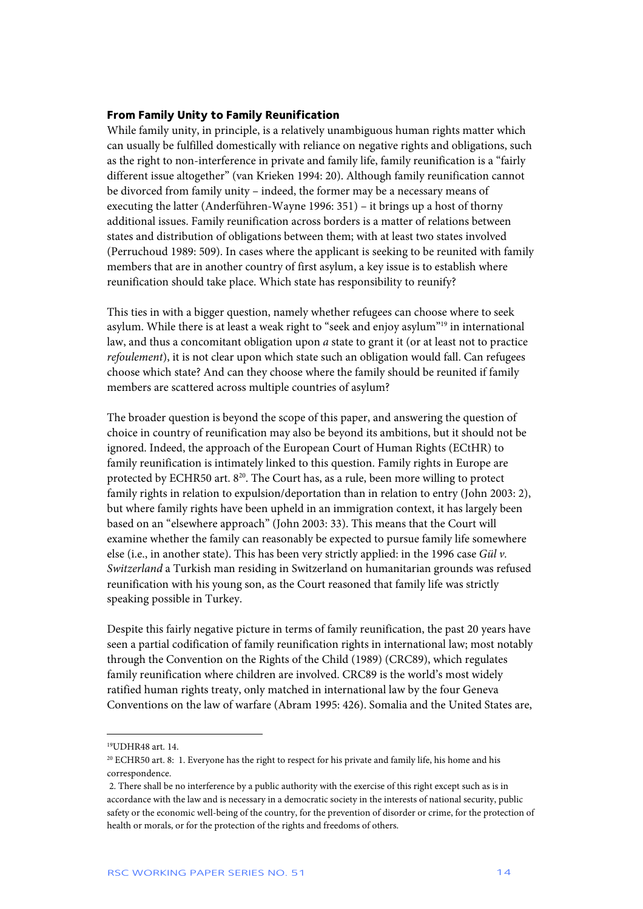## **From Family Unity to Family Reunification**

While family unity, in principle, is a relatively unambiguous human rights matter which can usually be fulfilled domestically with reliance on negative rights and obligations, such as the right to non-interference in private and family life, family reunification is a "fairly different issue altogether" (van Krieken 1994: 20). Although family reunification cannot be divorced from family unity – indeed, the former may be a necessary means of executing the latter (Anderführen-Wayne 1996: 351) – it brings up a host of thorny additional issues. Family reunification across borders is a matter of relations between states and distribution of obligations between them; with at least two states involved (Perruchoud 1989: 509). In cases where the applicant is seeking to be reunited with family members that are in another country of first asylum, a key issue is to establish where reunification should take place. Which state has responsibility to reunify?

This ties in with a bigger question, namely whether refugees can choose where to seek asylum. While there is at least a weak right to "seek and enjoy asylum"19 in international law, and thus a concomitant obligation upon *a* state to grant it (or at least not to practice *refoulement*), it is not clear upon which state such an obligation would fall. Can refugees choose which state? And can they choose where the family should be reunited if family members are scattered across multiple countries of asylum?

The broader question is beyond the scope of this paper, and answering the question of choice in country of reunification may also be beyond its ambitions, but it should not be ignored. Indeed, the approach of the European Court of Human Rights (ECtHR) to family reunification is intimately linked to this question. Family rights in Europe are protected by ECHR50 art. 8<sup>20</sup>. The Court has, as a rule, been more willing to protect family rights in relation to expulsion/deportation than in relation to entry (John 2003: 2), but where family rights have been upheld in an immigration context, it has largely been based on an "elsewhere approach" (John 2003: 33). This means that the Court will examine whether the family can reasonably be expected to pursue family life somewhere else (i.e., in another state). This has been very strictly applied: in the 1996 case *Gül v. Switzerland* a Turkish man residing in Switzerland on humanitarian grounds was refused reunification with his young son, as the Court reasoned that family life was strictly speaking possible in Turkey.

Despite this fairly negative picture in terms of family reunification, the past 20 years have seen a partial codification of family reunification rights in international law; most notably through the Convention on the Rights of the Child (1989) (CRC89), which regulates family reunification where children are involved. CRC89 is the world's most widely ratified human rights treaty, only matched in international law by the four Geneva Conventions on the law of warfare (Abram 1995: 426). Somalia and the United States are,

j

<sup>19</sup>UDHR48 art. 14.

<sup>20</sup> ECHR50 art. 8: 1. Everyone has the right to respect for his private and family life, his home and his correspondence.

 <sup>2.</sup> There shall be no interference by a public authority with the exercise of this right except such as is in accordance with the law and is necessary in a democratic society in the interests of national security, public safety or the economic well-being of the country, for the prevention of disorder or crime, for the protection of health or morals, or for the protection of the rights and freedoms of others.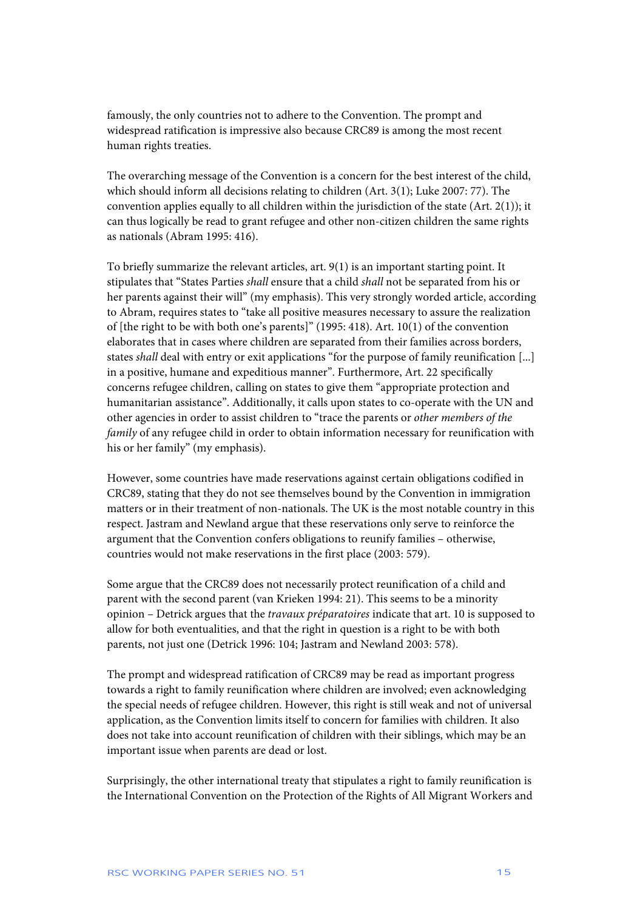famously, the only countries not to adhere to the Convention. The prompt and widespread ratification is impressive also because CRC89 is among the most recent human rights treaties.

The overarching message of the Convention is a concern for the best interest of the child, which should inform all decisions relating to children (Art. 3(1); Luke 2007: 77). The convention applies equally to all children within the jurisdiction of the state (Art. 2(1)); it can thus logically be read to grant refugee and other non-citizen children the same rights as nationals (Abram 1995: 416).

To briefly summarize the relevant articles, art. 9(1) is an important starting point. It stipulates that "States Parties *shall* ensure that a child *shall* not be separated from his or her parents against their will" (my emphasis). This very strongly worded article, according to Abram, requires states to "take all positive measures necessary to assure the realization of [the right to be with both one's parents]" (1995: 418). Art. 10(1) of the convention elaborates that in cases where children are separated from their families across borders, states *shall* deal with entry or exit applications "for the purpose of family reunification [...] in a positive, humane and expeditious manner". Furthermore, Art. 22 specifically concerns refugee children, calling on states to give them "appropriate protection and humanitarian assistance". Additionally, it calls upon states to co-operate with the UN and other agencies in order to assist children to "trace the parents or *other members of the family* of any refugee child in order to obtain information necessary for reunification with his or her family" (my emphasis).

However, some countries have made reservations against certain obligations codified in CRC89, stating that they do not see themselves bound by the Convention in immigration matters or in their treatment of non-nationals. The UK is the most notable country in this respect. Jastram and Newland argue that these reservations only serve to reinforce the argument that the Convention confers obligations to reunify families – otherwise, countries would not make reservations in the first place (2003: 579).

Some argue that the CRC89 does not necessarily protect reunification of a child and parent with the second parent (van Krieken 1994: 21). This seems to be a minority opinion – Detrick argues that the *travaux préparatoires* indicate that art. 10 is supposed to allow for both eventualities, and that the right in question is a right to be with both parents, not just one (Detrick 1996: 104; Jastram and Newland 2003: 578).

The prompt and widespread ratification of CRC89 may be read as important progress towards a right to family reunification where children are involved; even acknowledging the special needs of refugee children. However, this right is still weak and not of universal application, as the Convention limits itself to concern for families with children. It also does not take into account reunification of children with their siblings, which may be an important issue when parents are dead or lost.

Surprisingly, the other international treaty that stipulates a right to family reunification is the International Convention on the Protection of the Rights of All Migrant Workers and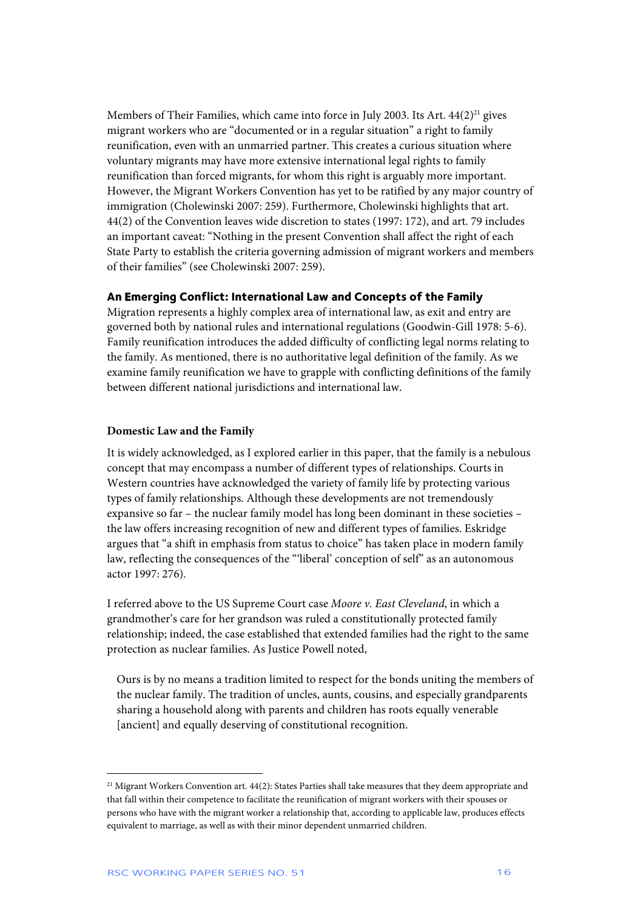Members of Their Families, which came into force in July 2003. Its Art.  $44(2)^{21}$  gives migrant workers who are "documented or in a regular situation" a right to family reunification, even with an unmarried partner. This creates a curious situation where voluntary migrants may have more extensive international legal rights to family reunification than forced migrants, for whom this right is arguably more important. However, the Migrant Workers Convention has yet to be ratified by any major country of immigration (Cholewinski 2007: 259). Furthermore, Cholewinski highlights that art. 44(2) of the Convention leaves wide discretion to states (1997: 172), and art. 79 includes an important caveat: "Nothing in the present Convention shall affect the right of each State Party to establish the criteria governing admission of migrant workers and members of their families" (see Cholewinski 2007: 259).

### **An Emerging Conflict: International Law and Concepts of the Family**

Migration represents a highly complex area of international law, as exit and entry are governed both by national rules and international regulations (Goodwin-Gill 1978: 5-6). Family reunification introduces the added difficulty of conflicting legal norms relating to the family. As mentioned, there is no authoritative legal definition of the family. As we examine family reunification we have to grapple with conflicting definitions of the family between different national jurisdictions and international law.

## **Domestic Law and the Family**

It is widely acknowledged, as I explored earlier in this paper, that the family is a nebulous concept that may encompass a number of different types of relationships. Courts in Western countries have acknowledged the variety of family life by protecting various types of family relationships. Although these developments are not tremendously expansive so far – the nuclear family model has long been dominant in these societies – the law offers increasing recognition of new and different types of families. Eskridge argues that "a shift in emphasis from status to choice" has taken place in modern family law, reflecting the consequences of the "'liberal' conception of self" as an autonomous actor 1997: 276).

I referred above to the US Supreme Court case *Moore v. East Cleveland*, in which a grandmother's care for her grandson was ruled a constitutionally protected family relationship; indeed, the case established that extended families had the right to the same protection as nuclear families. As Justice Powell noted,

Ours is by no means a tradition limited to respect for the bonds uniting the members of the nuclear family. The tradition of uncles, aunts, cousins, and especially grandparents sharing a household along with parents and children has roots equally venerable [ancient] and equally deserving of constitutional recognition.

<sup>&</sup>lt;sup>21</sup> Migrant Workers Convention art. 44(2): States Parties shall take measures that they deem appropriate and that fall within their competence to facilitate the reunification of migrant workers with their spouses or persons who have with the migrant worker a relationship that, according to applicable law, produces effects equivalent to marriage, as well as with their minor dependent unmarried children.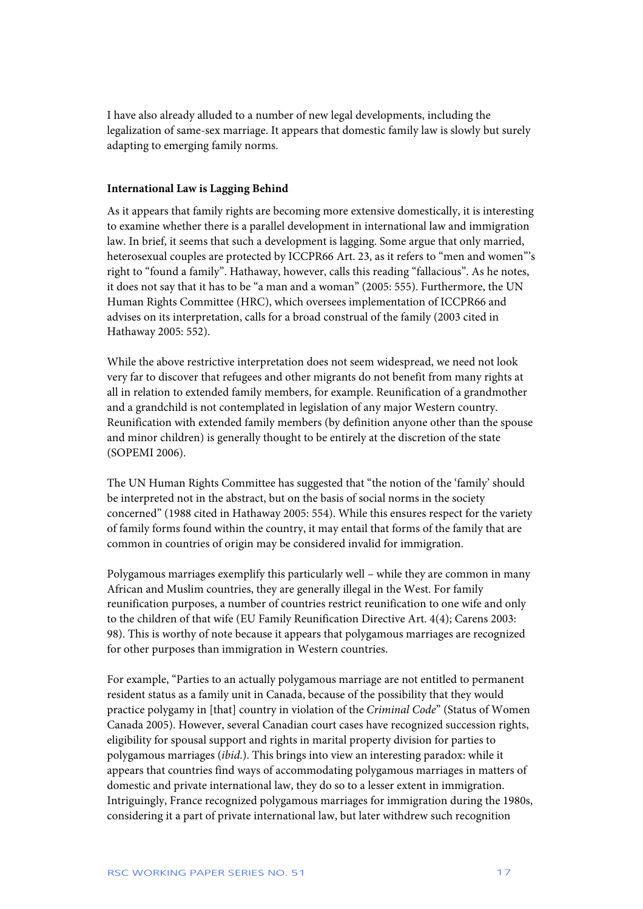I have also already alluded to a number of new legal developments, including the legalization of same-sex marriage. It appears that domestic family law is slowly but surely adapting to emerging family norms.

## **International Law is Lagging Behind**

As it appears that family rights are becoming more extensive domestically, it is interesting to examine whether there is a parallel development in international law and immigration law. In brief, it seems that such a development is lagging. Some argue that only married, heterosexual couples are protected by ICCPR66 Art. 23, as it refers to "men and women"'s right to "found a family". Hathaway, however, calls this reading "fallacious". As he notes, it does not say that it has to be "a man and a woman" (2005: 555). Furthermore, the UN Human Rights Committee (HRC), which oversees implementation of ICCPR66 and advises on its interpretation, calls for a broad construal of the family (2003 cited in Hathaway 2005: 552).

While the above restrictive interpretation does not seem widespread, we need not look very far to discover that refugees and other migrants do not benefit from many rights at all in relation to extended family members, for example. Reunification of a grandmother and a grandchild is not contemplated in legislation of any major Western country. Reunification with extended family members (by definition anyone other than the spouse and minor children) is generally thought to be entirely at the discretion of the state (SOPEMI 2006).

The UN Human Rights Committee has suggested that "the notion of the 'family' should be interpreted not in the abstract, but on the basis of social norms in the society concerned" (1988 cited in Hathaway 2005: 554). While this ensures respect for the variety of family forms found within the country, it may entail that forms of the family that are common in countries of origin may be considered invalid for immigration.

Polygamous marriages exemplify this particularly well – while they are common in many African and Muslim countries, they are generally illegal in the West. For family reunification purposes, a number of countries restrict reunification to one wife and only to the children of that wife (EU Family Reunification Directive Art. 4(4); Carens 2003: 98). This is worthy of note because it appears that polygamous marriages are recognized for other purposes than immigration in Western countries.

For example, "Parties to an actually polygamous marriage are not entitled to permanent resident status as a family unit in Canada, because of the possibility that they would practice polygamy in [that] country in violation of the *Criminal Code*" (Status of Women Canada 2005). However, several Canadian court cases have recognized succession rights, eligibility for spousal support and rights in marital property division for parties to polygamous marriages (*ibid*.). This brings into view an interesting paradox: while it appears that countries find ways of accommodating polygamous marriages in matters of domestic and private international law, they do so to a lesser extent in immigration. Intriguingly, France recognized polygamous marriages for immigration during the 1980s, considering it a part of private international law, but later withdrew such recognition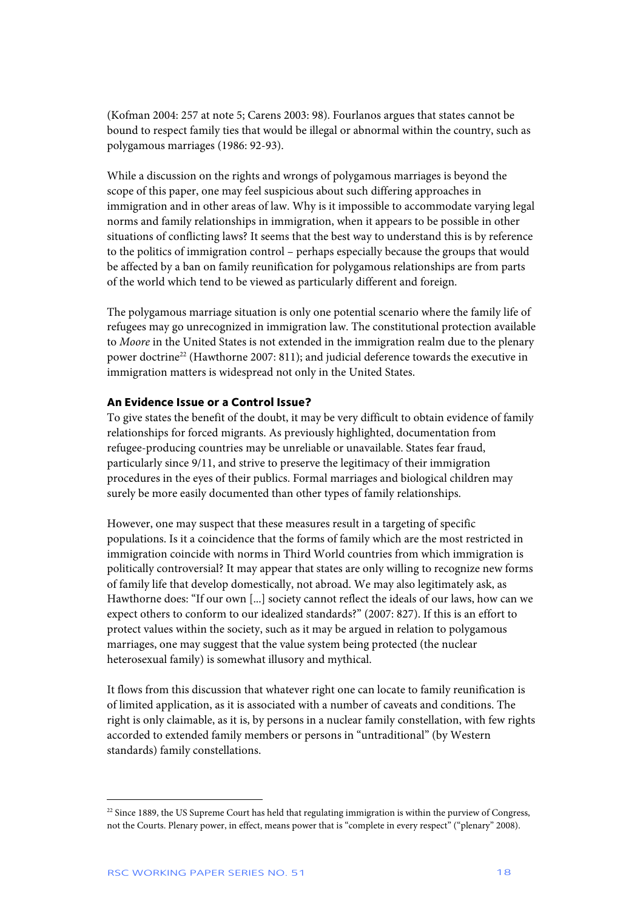(Kofman 2004: 257 at note 5; Carens 2003: 98). Fourlanos argues that states cannot be bound to respect family ties that would be illegal or abnormal within the country, such as polygamous marriages (1986: 92-93).

While a discussion on the rights and wrongs of polygamous marriages is beyond the scope of this paper, one may feel suspicious about such differing approaches in immigration and in other areas of law. Why is it impossible to accommodate varying legal norms and family relationships in immigration, when it appears to be possible in other situations of conflicting laws? It seems that the best way to understand this is by reference to the politics of immigration control – perhaps especially because the groups that would be affected by a ban on family reunification for polygamous relationships are from parts of the world which tend to be viewed as particularly different and foreign.

The polygamous marriage situation is only one potential scenario where the family life of refugees may go unrecognized in immigration law. The constitutional protection available to *Moore* in the United States is not extended in the immigration realm due to the plenary power doctrine<sup>22</sup> (Hawthorne 2007: 811); and judicial deference towards the executive in immigration matters is widespread not only in the United States.

## **An Evidence Issue or a Control Issue?**

To give states the benefit of the doubt, it may be very difficult to obtain evidence of family relationships for forced migrants. As previously highlighted, documentation from refugee-producing countries may be unreliable or unavailable. States fear fraud, particularly since 9/11, and strive to preserve the legitimacy of their immigration procedures in the eyes of their publics. Formal marriages and biological children may surely be more easily documented than other types of family relationships.

However, one may suspect that these measures result in a targeting of specific populations. Is it a coincidence that the forms of family which are the most restricted in immigration coincide with norms in Third World countries from which immigration is politically controversial? It may appear that states are only willing to recognize new forms of family life that develop domestically, not abroad. We may also legitimately ask, as Hawthorne does: "If our own [...] society cannot reflect the ideals of our laws, how can we expect others to conform to our idealized standards?" (2007: 827). If this is an effort to protect values within the society, such as it may be argued in relation to polygamous marriages, one may suggest that the value system being protected (the nuclear heterosexual family) is somewhat illusory and mythical.

It flows from this discussion that whatever right one can locate to family reunification is of limited application, as it is associated with a number of caveats and conditions. The right is only claimable, as it is, by persons in a nuclear family constellation, with few rights accorded to extended family members or persons in "untraditional" (by Western standards) family constellations.

j

 $22$  Since 1889, the US Supreme Court has held that regulating immigration is within the purview of Congress, not the Courts. Plenary power, in effect, means power that is "complete in every respect" ("plenary" 2008).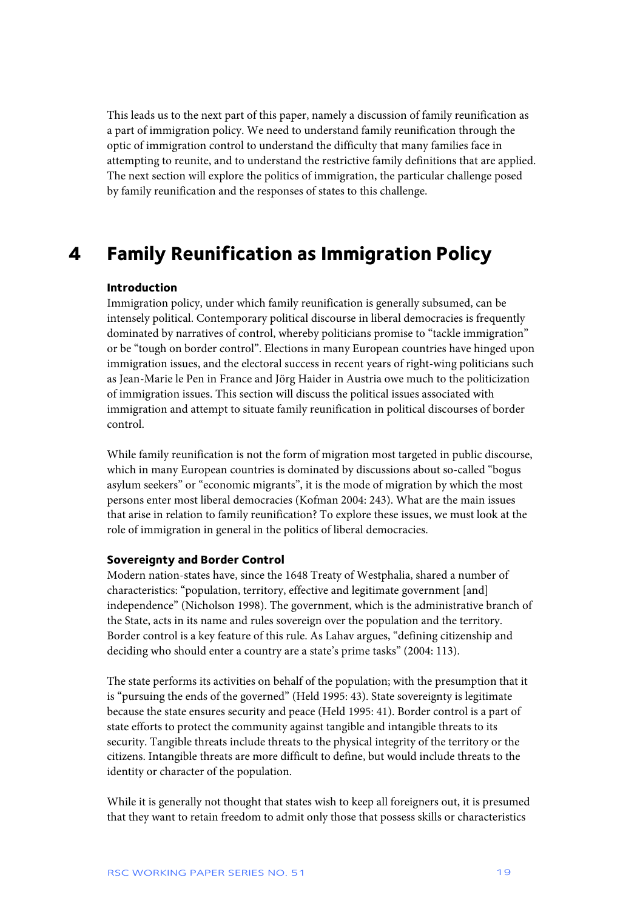This leads us to the next part of this paper, namely a discussion of family reunification as a part of immigration policy. We need to understand family reunification through the optic of immigration control to understand the difficulty that many families face in attempting to reunite, and to understand the restrictive family definitions that are applied. The next section will explore the politics of immigration, the particular challenge posed by family reunification and the responses of states to this challenge.

## **4 Family Reunification as Immigration Policy**

## **Introduction**

Immigration policy, under which family reunification is generally subsumed, can be intensely political. Contemporary political discourse in liberal democracies is frequently dominated by narratives of control, whereby politicians promise to "tackle immigration" or be "tough on border control". Elections in many European countries have hinged upon immigration issues, and the electoral success in recent years of right-wing politicians such as Jean-Marie le Pen in France and Jörg Haider in Austria owe much to the politicization of immigration issues. This section will discuss the political issues associated with immigration and attempt to situate family reunification in political discourses of border control.

While family reunification is not the form of migration most targeted in public discourse, which in many European countries is dominated by discussions about so-called "bogus asylum seekers" or "economic migrants", it is the mode of migration by which the most persons enter most liberal democracies (Kofman 2004: 243). What are the main issues that arise in relation to family reunification? To explore these issues, we must look at the role of immigration in general in the politics of liberal democracies.

## **Sovereignty and Border Control**

Modern nation-states have, since the 1648 Treaty of Westphalia, shared a number of characteristics: "population, territory, effective and legitimate government [and] independence" (Nicholson 1998). The government, which is the administrative branch of the State, acts in its name and rules sovereign over the population and the territory. Border control is a key feature of this rule. As Lahav argues, "defining citizenship and deciding who should enter a country are a state's prime tasks" (2004: 113).

The state performs its activities on behalf of the population; with the presumption that it is "pursuing the ends of the governed" (Held 1995: 43). State sovereignty is legitimate because the state ensures security and peace (Held 1995: 41). Border control is a part of state efforts to protect the community against tangible and intangible threats to its security. Tangible threats include threats to the physical integrity of the territory or the citizens. Intangible threats are more difficult to define, but would include threats to the identity or character of the population.

While it is generally not thought that states wish to keep all foreigners out, it is presumed that they want to retain freedom to admit only those that possess skills or characteristics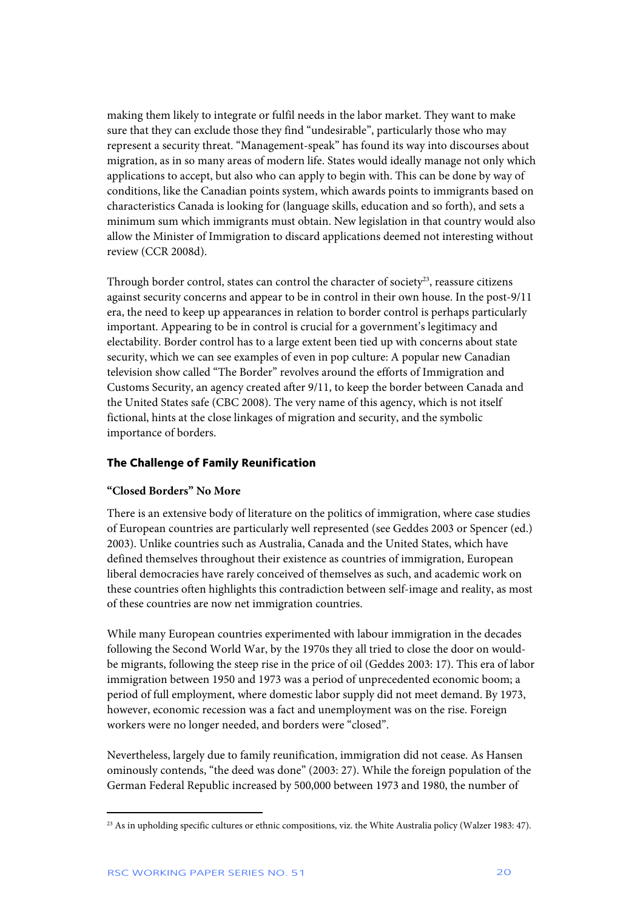making them likely to integrate or fulfil needs in the labor market. They want to make sure that they can exclude those they find "undesirable", particularly those who may represent a security threat. "Management-speak" has found its way into discourses about migration, as in so many areas of modern life. States would ideally manage not only which applications to accept, but also who can apply to begin with. This can be done by way of conditions, like the Canadian points system, which awards points to immigrants based on characteristics Canada is looking for (language skills, education and so forth), and sets a minimum sum which immigrants must obtain. New legislation in that country would also allow the Minister of Immigration to discard applications deemed not interesting without review (CCR 2008d).

Through border control, states can control the character of society $23$ , reassure citizens against security concerns and appear to be in control in their own house. In the post-9/11 era, the need to keep up appearances in relation to border control is perhaps particularly important. Appearing to be in control is crucial for a government's legitimacy and electability. Border control has to a large extent been tied up with concerns about state security, which we can see examples of even in pop culture: A popular new Canadian television show called "The Border" revolves around the efforts of Immigration and Customs Security, an agency created after 9/11, to keep the border between Canada and the United States safe (CBC 2008). The very name of this agency, which is not itself fictional, hints at the close linkages of migration and security, and the symbolic importance of borders.

## **The Challenge of Family Reunification**

## **"Closed Borders" No More**

There is an extensive body of literature on the politics of immigration, where case studies of European countries are particularly well represented (see Geddes 2003 or Spencer (ed.) 2003). Unlike countries such as Australia, Canada and the United States, which have defined themselves throughout their existence as countries of immigration, European liberal democracies have rarely conceived of themselves as such, and academic work on these countries often highlights this contradiction between self-image and reality, as most of these countries are now net immigration countries.

While many European countries experimented with labour immigration in the decades following the Second World War, by the 1970s they all tried to close the door on wouldbe migrants, following the steep rise in the price of oil (Geddes 2003: 17). This era of labor immigration between 1950 and 1973 was a period of unprecedented economic boom; a period of full employment, where domestic labor supply did not meet demand. By 1973, however, economic recession was a fact and unemployment was on the rise. Foreign workers were no longer needed, and borders were "closed".

Nevertheless, largely due to family reunification, immigration did not cease. As Hansen ominously contends, "the deed was done" (2003: 27). While the foreign population of the German Federal Republic increased by 500,000 between 1973 and 1980, the number of

<sup>&</sup>lt;sup>23</sup> As in upholding specific cultures or ethnic compositions, viz. the White Australia policy (Walzer 1983: 47).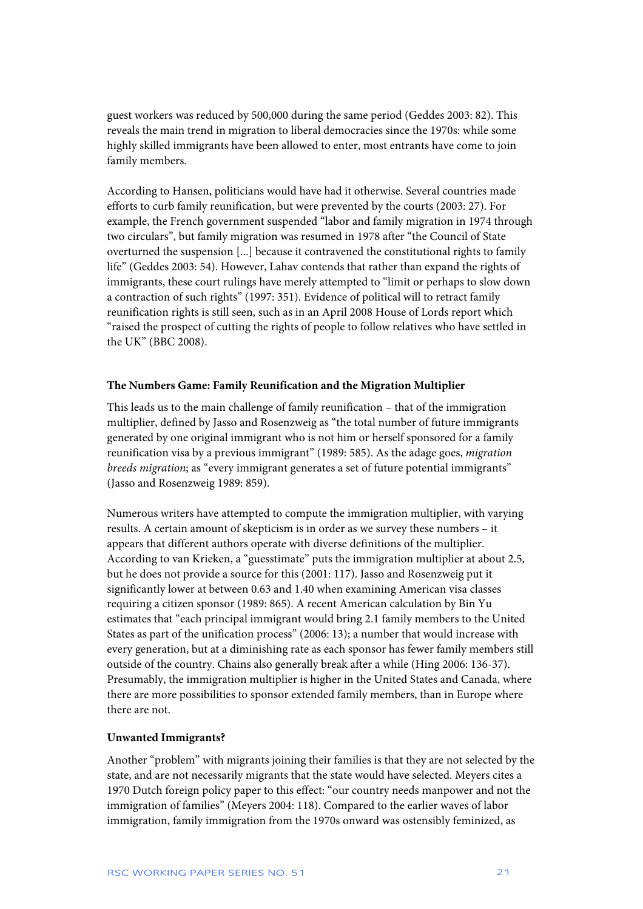guest workers was reduced by 500,000 during the same period (Geddes 2003: 82). This reveals the main trend in migration to liberal democracies since the 1970s: while some highly skilled immigrants have been allowed to enter, most entrants have come to join family members.

According to Hansen, politicians would have had it otherwise. Several countries made efforts to curb family reunification, but were prevented by the courts (2003: 27). For example, the French government suspended "labor and family migration in 1974 through two circulars", but family migration was resumed in 1978 after "the Council of State overturned the suspension [...] because it contravened the constitutional rights to family life" (Geddes 2003: 54). However, Lahav contends that rather than expand the rights of immigrants, these court rulings have merely attempted to "limit or perhaps to slow down a contraction of such rights" (1997: 351). Evidence of political will to retract family reunification rights is still seen, such as in an April 2008 House of Lords report which "raised the prospect of cutting the rights of people to follow relatives who have settled in the UK" (BBC 2008).

## **The Numbers Game: Family Reunification and the Migration Multiplier**

This leads us to the main challenge of family reunification – that of the immigration multiplier, defined by Jasso and Rosenzweig as "the total number of future immigrants generated by one original immigrant who is not him or herself sponsored for a family reunification visa by a previous immigrant" (1989: 585). As the adage goes, *migration breeds migration*; as "every immigrant generates a set of future potential immigrants" (Jasso and Rosenzweig 1989: 859).

Numerous writers have attempted to compute the immigration multiplier, with varying results. A certain amount of skepticism is in order as we survey these numbers – it appears that different authors operate with diverse definitions of the multiplier. According to van Krieken, a "guesstimate" puts the immigration multiplier at about 2.5, but he does not provide a source for this (2001: 117). Jasso and Rosenzweig put it significantly lower at between 0.63 and 1.40 when examining American visa classes requiring a citizen sponsor (1989: 865). A recent American calculation by Bin Yu estimates that "each principal immigrant would bring 2.1 family members to the United States as part of the unification process" (2006: 13); a number that would increase with every generation, but at a diminishing rate as each sponsor has fewer family members still outside of the country. Chains also generally break after a while (Hing 2006: 136-37). Presumably, the immigration multiplier is higher in the United States and Canada, where there are more possibilities to sponsor extended family members, than in Europe where there are not.

## **Unwanted Immigrants?**

Another "problem" with migrants joining their families is that they are not selected by the state, and are not necessarily migrants that the state would have selected. Meyers cites a 1970 Dutch foreign policy paper to this effect: "our country needs manpower and not the immigration of families" (Meyers 2004: 118). Compared to the earlier waves of labor immigration, family immigration from the 1970s onward was ostensibly feminized, as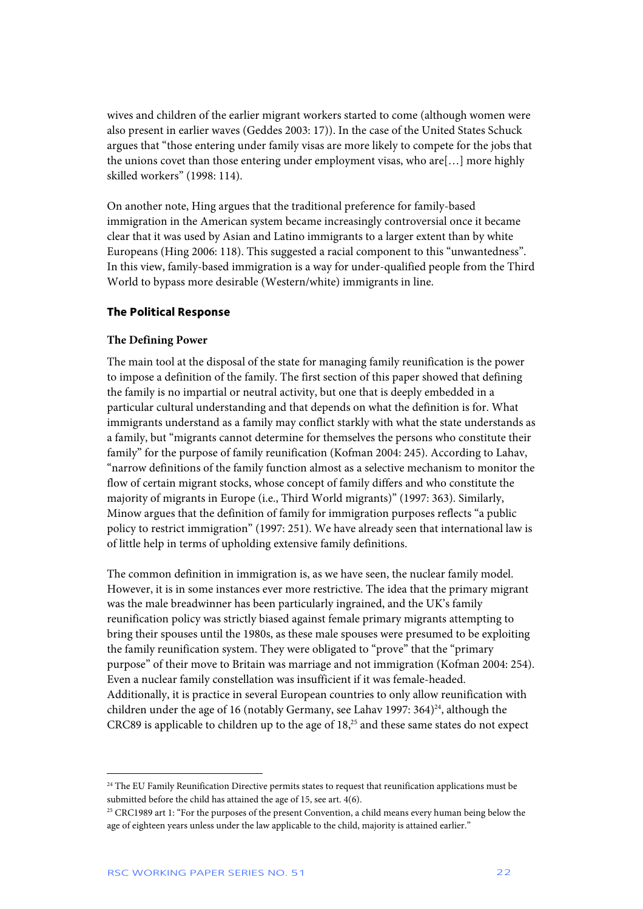wives and children of the earlier migrant workers started to come (although women were also present in earlier waves (Geddes 2003: 17)). In the case of the United States Schuck argues that "those entering under family visas are more likely to compete for the jobs that the unions covet than those entering under employment visas, who are[…] more highly skilled workers" (1998: 114).

On another note, Hing argues that the traditional preference for family-based immigration in the American system became increasingly controversial once it became clear that it was used by Asian and Latino immigrants to a larger extent than by white Europeans (Hing 2006: 118). This suggested a racial component to this "unwantedness". In this view, family-based immigration is a way for under-qualified people from the Third World to bypass more desirable (Western/white) immigrants in line.

## **The Political Response**

## **The Defining Power**

The main tool at the disposal of the state for managing family reunification is the power to impose a definition of the family. The first section of this paper showed that defining the family is no impartial or neutral activity, but one that is deeply embedded in a particular cultural understanding and that depends on what the definition is for. What immigrants understand as a family may conflict starkly with what the state understands as a family, but "migrants cannot determine for themselves the persons who constitute their family" for the purpose of family reunification (Kofman 2004: 245). According to Lahav, "narrow definitions of the family function almost as a selective mechanism to monitor the flow of certain migrant stocks, whose concept of family differs and who constitute the majority of migrants in Europe (i.e., Third World migrants)" (1997: 363). Similarly, Minow argues that the definition of family for immigration purposes reflects "a public policy to restrict immigration" (1997: 251). We have already seen that international law is of little help in terms of upholding extensive family definitions.

The common definition in immigration is, as we have seen, the nuclear family model. However, it is in some instances ever more restrictive. The idea that the primary migrant was the male breadwinner has been particularly ingrained, and the UK's family reunification policy was strictly biased against female primary migrants attempting to bring their spouses until the 1980s, as these male spouses were presumed to be exploiting the family reunification system. They were obligated to "prove" that the "primary purpose" of their move to Britain was marriage and not immigration (Kofman 2004: 254). Even a nuclear family constellation was insufficient if it was female-headed. Additionally, it is practice in several European countries to only allow reunification with children under the age of 16 (notably Germany, see Lahav 1997:  $364)^{24}$ , although the CRC89 is applicable to children up to the age of 18,<sup>25</sup> and these same states do not expect

<sup>&</sup>lt;sup>24</sup> The EU Family Reunification Directive permits states to request that reunification applications must be submitted before the child has attained the age of 15, see art. 4(6).

<sup>&</sup>lt;sup>25</sup> CRC1989 art 1: "For the purposes of the present Convention, a child means every human being below the age of eighteen years unless under the law applicable to the child, majority is attained earlier."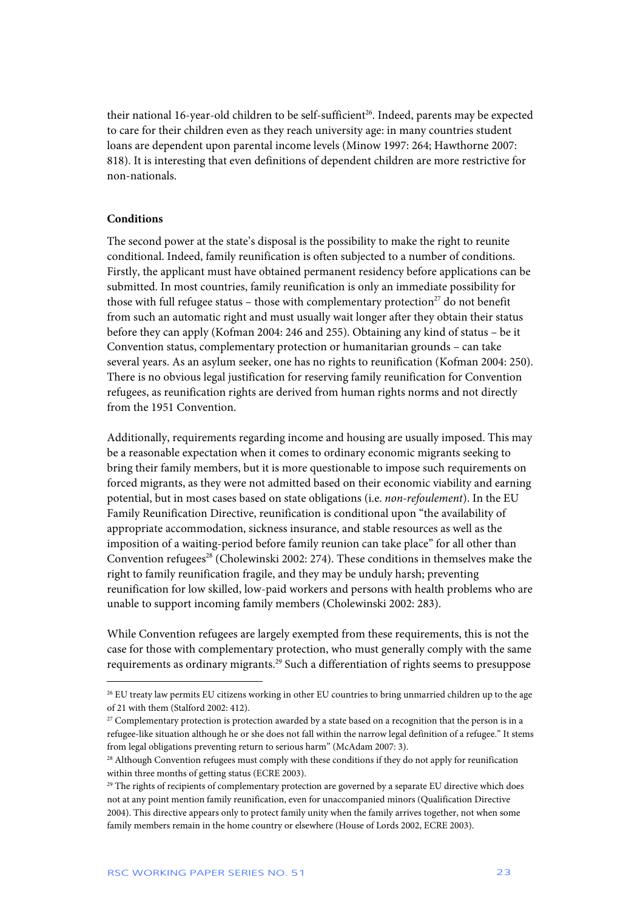their national 16-year-old children to be self-sufficient<sup>26</sup>. Indeed, parents may be expected to care for their children even as they reach university age: in many countries student loans are dependent upon parental income levels (Minow 1997: 264; Hawthorne 2007: 818). It is interesting that even definitions of dependent children are more restrictive for non-nationals.

## **Conditions**

 $\overline{a}$ 

The second power at the state's disposal is the possibility to make the right to reunite conditional. Indeed, family reunification is often subjected to a number of conditions. Firstly, the applicant must have obtained permanent residency before applications can be submitted. In most countries, family reunification is only an immediate possibility for those with full refugee status – those with complementary protection<sup>27</sup> do not benefit from such an automatic right and must usually wait longer after they obtain their status before they can apply (Kofman 2004: 246 and 255). Obtaining any kind of status – be it Convention status, complementary protection or humanitarian grounds – can take several years. As an asylum seeker, one has no rights to reunification (Kofman 2004: 250). There is no obvious legal justification for reserving family reunification for Convention refugees, as reunification rights are derived from human rights norms and not directly from the 1951 Convention.

Additionally, requirements regarding income and housing are usually imposed. This may be a reasonable expectation when it comes to ordinary economic migrants seeking to bring their family members, but it is more questionable to impose such requirements on forced migrants, as they were not admitted based on their economic viability and earning potential, but in most cases based on state obligations (i.e. *non-refoulement*). In the EU Family Reunification Directive, reunification is conditional upon "the availability of appropriate accommodation, sickness insurance, and stable resources as well as the imposition of a waiting-period before family reunion can take place" for all other than Convention refugees<sup>28</sup> (Cholewinski 2002: 274). These conditions in themselves make the right to family reunification fragile, and they may be unduly harsh; preventing reunification for low skilled, low-paid workers and persons with health problems who are unable to support incoming family members (Cholewinski 2002: 283).

While Convention refugees are largely exempted from these requirements, this is not the case for those with complementary protection, who must generally comply with the same requirements as ordinary migrants.<sup>29</sup> Such a differentiation of rights seems to presuppose

<sup>26</sup> EU treaty law permits EU citizens working in other EU countries to bring unmarried children up to the age of 21 with them (Stalford 2002: 412).

 $27$  Complementary protection is protection awarded by a state based on a recognition that the person is in a refugee-like situation although he or she does not fall within the narrow legal definition of a refugee." It stems from legal obligations preventing return to serious harm" (McAdam 2007: 3).

<sup>&</sup>lt;sup>28</sup> Although Convention refugees must comply with these conditions if they do not apply for reunification within three months of getting status (ECRE 2003).

 $^{29}$  The rights of recipients of complementary protection are governed by a separate EU directive which does not at any point mention family reunification, even for unaccompanied minors (Qualification Directive 2004). This directive appears only to protect family unity when the family arrives together, not when some family members remain in the home country or elsewhere (House of Lords 2002, ECRE 2003).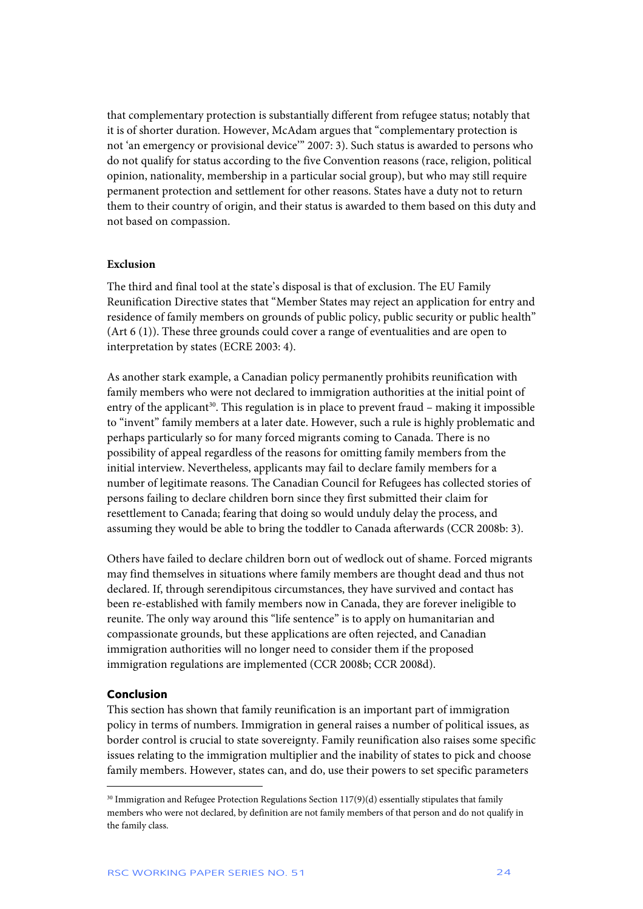that complementary protection is substantially different from refugee status; notably that it is of shorter duration. However, McAdam argues that "complementary protection is not 'an emergency or provisional device'" 2007: 3). Such status is awarded to persons who do not qualify for status according to the five Convention reasons (race, religion, political opinion, nationality, membership in a particular social group), but who may still require permanent protection and settlement for other reasons. States have a duty not to return them to their country of origin, and their status is awarded to them based on this duty and not based on compassion.

### **Exclusion**

The third and final tool at the state's disposal is that of exclusion. The EU Family Reunification Directive states that "Member States may reject an application for entry and residence of family members on grounds of public policy, public security or public health" (Art 6 (1)). These three grounds could cover a range of eventualities and are open to interpretation by states (ECRE 2003: 4).

As another stark example, a Canadian policy permanently prohibits reunification with family members who were not declared to immigration authorities at the initial point of entry of the applicant<sup>30</sup>. This regulation is in place to prevent fraud – making it impossible to "invent" family members at a later date. However, such a rule is highly problematic and perhaps particularly so for many forced migrants coming to Canada. There is no possibility of appeal regardless of the reasons for omitting family members from the initial interview. Nevertheless, applicants may fail to declare family members for a number of legitimate reasons. The Canadian Council for Refugees has collected stories of persons failing to declare children born since they first submitted their claim for resettlement to Canada; fearing that doing so would unduly delay the process, and assuming they would be able to bring the toddler to Canada afterwards (CCR 2008b: 3).

Others have failed to declare children born out of wedlock out of shame. Forced migrants may find themselves in situations where family members are thought dead and thus not declared. If, through serendipitous circumstances, they have survived and contact has been re-established with family members now in Canada, they are forever ineligible to reunite. The only way around this "life sentence" is to apply on humanitarian and compassionate grounds, but these applications are often rejected, and Canadian immigration authorities will no longer need to consider them if the proposed immigration regulations are implemented (CCR 2008b; CCR 2008d).

## **Conclusion**

 $\overline{a}$ 

This section has shown that family reunification is an important part of immigration policy in terms of numbers. Immigration in general raises a number of political issues, as border control is crucial to state sovereignty. Family reunification also raises some specific issues relating to the immigration multiplier and the inability of states to pick and choose family members. However, states can, and do, use their powers to set specific parameters

<sup>&</sup>lt;sup>30</sup> Immigration and Refugee Protection Regulations Section 117(9)(d) essentially stipulates that family members who were not declared, by definition are not family members of that person and do not qualify in the family class.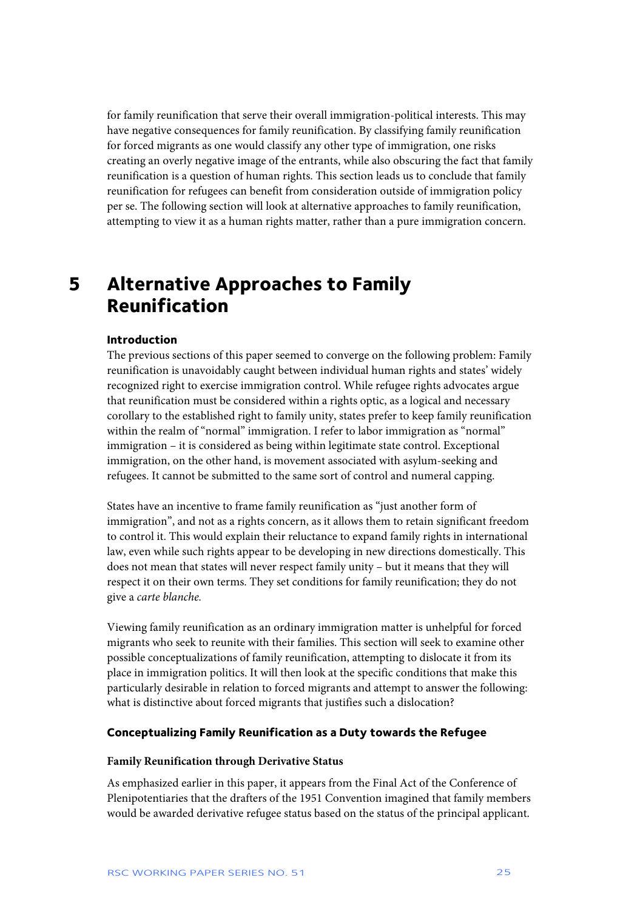for family reunification that serve their overall immigration-political interests. This may have negative consequences for family reunification. By classifying family reunification for forced migrants as one would classify any other type of immigration, one risks creating an overly negative image of the entrants, while also obscuring the fact that family reunification is a question of human rights. This section leads us to conclude that family reunification for refugees can benefit from consideration outside of immigration policy per se. The following section will look at alternative approaches to family reunification, attempting to view it as a human rights matter, rather than a pure immigration concern.

## **5 Alternative Approaches to Family Reunification**

## **Introduction**

The previous sections of this paper seemed to converge on the following problem: Family reunification is unavoidably caught between individual human rights and states' widely recognized right to exercise immigration control. While refugee rights advocates argue that reunification must be considered within a rights optic, as a logical and necessary corollary to the established right to family unity, states prefer to keep family reunification within the realm of "normal" immigration. I refer to labor immigration as "normal" immigration – it is considered as being within legitimate state control. Exceptional immigration, on the other hand, is movement associated with asylum-seeking and refugees. It cannot be submitted to the same sort of control and numeral capping.

States have an incentive to frame family reunification as "just another form of immigration", and not as a rights concern, as it allows them to retain significant freedom to control it. This would explain their reluctance to expand family rights in international law, even while such rights appear to be developing in new directions domestically. This does not mean that states will never respect family unity – but it means that they will respect it on their own terms. They set conditions for family reunification; they do not give a *carte blanche.*

Viewing family reunification as an ordinary immigration matter is unhelpful for forced migrants who seek to reunite with their families. This section will seek to examine other possible conceptualizations of family reunification, attempting to dislocate it from its place in immigration politics. It will then look at the specific conditions that make this particularly desirable in relation to forced migrants and attempt to answer the following: what is distinctive about forced migrants that justifies such a dislocation?

#### **Conceptualizing Family Reunification as a Duty towards the Refugee**

## **Family Reunification through Derivative Status**

As emphasized earlier in this paper, it appears from the Final Act of the Conference of Plenipotentiaries that the drafters of the 1951 Convention imagined that family members would be awarded derivative refugee status based on the status of the principal applicant.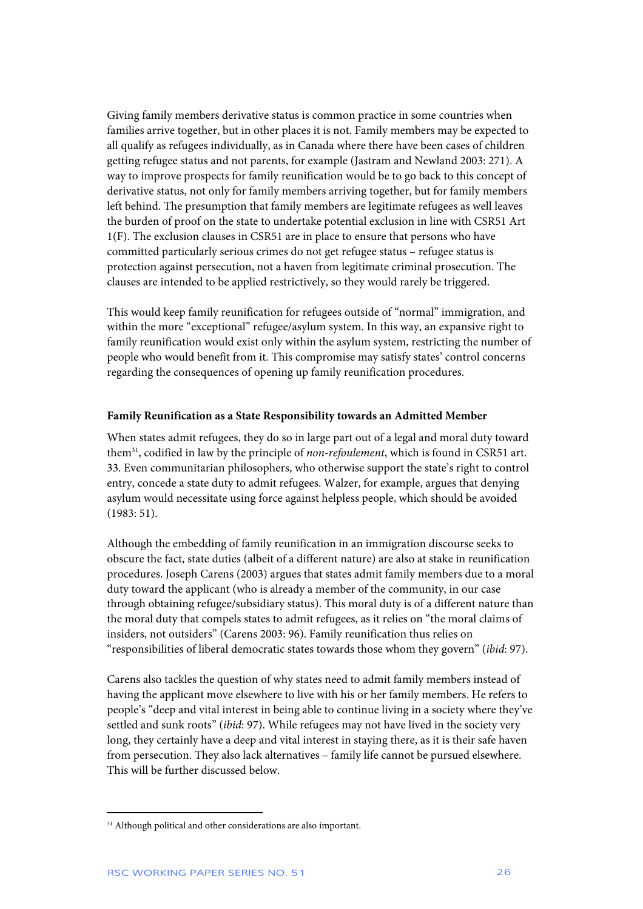Giving family members derivative status is common practice in some countries when families arrive together, but in other places it is not. Family members may be expected to all qualify as refugees individually, as in Canada where there have been cases of children getting refugee status and not parents, for example (Jastram and Newland 2003: 271). A way to improve prospects for family reunification would be to go back to this concept of derivative status, not only for family members arriving together, but for family members left behind. The presumption that family members are legitimate refugees as well leaves the burden of proof on the state to undertake potential exclusion in line with CSR51 Art 1(F). The exclusion clauses in CSR51 are in place to ensure that persons who have committed particularly serious crimes do not get refugee status – refugee status is protection against persecution, not a haven from legitimate criminal prosecution. The clauses are intended to be applied restrictively, so they would rarely be triggered.

This would keep family reunification for refugees outside of "normal" immigration, and within the more "exceptional" refugee/asylum system. In this way, an expansive right to family reunification would exist only within the asylum system, restricting the number of people who would benefit from it. This compromise may satisfy states' control concerns regarding the consequences of opening up family reunification procedures.

## **Family Reunification as a State Responsibility towards an Admitted Member**

When states admit refugees, they do so in large part out of a legal and moral duty toward them31, codified in law by the principle of *non-refoulement*, which is found in CSR51 art. 33. Even communitarian philosophers, who otherwise support the state's right to control entry, concede a state duty to admit refugees. Walzer, for example, argues that denying asylum would necessitate using force against helpless people, which should be avoided (1983: 51).

Although the embedding of family reunification in an immigration discourse seeks to obscure the fact, state duties (albeit of a different nature) are also at stake in reunification procedures. Joseph Carens (2003) argues that states admit family members due to a moral duty toward the applicant (who is already a member of the community, in our case through obtaining refugee/subsidiary status). This moral duty is of a different nature than the moral duty that compels states to admit refugees, as it relies on "the moral claims of insiders, not outsiders" (Carens 2003: 96). Family reunification thus relies on "responsibilities of liberal democratic states towards those whom they govern" (*ibid*: 97).

Carens also tackles the question of why states need to admit family members instead of having the applicant move elsewhere to live with his or her family members. He refers to people's "deep and vital interest in being able to continue living in a society where they've settled and sunk roots" (*ibid*: 97). While refugees may not have lived in the society very long, they certainly have a deep and vital interest in staying there, as it is their safe haven from persecution. They also lack alternatives – family life cannot be pursued elsewhere. This will be further discussed below.

<sup>&</sup>lt;sup>31</sup> Although political and other considerations are also important.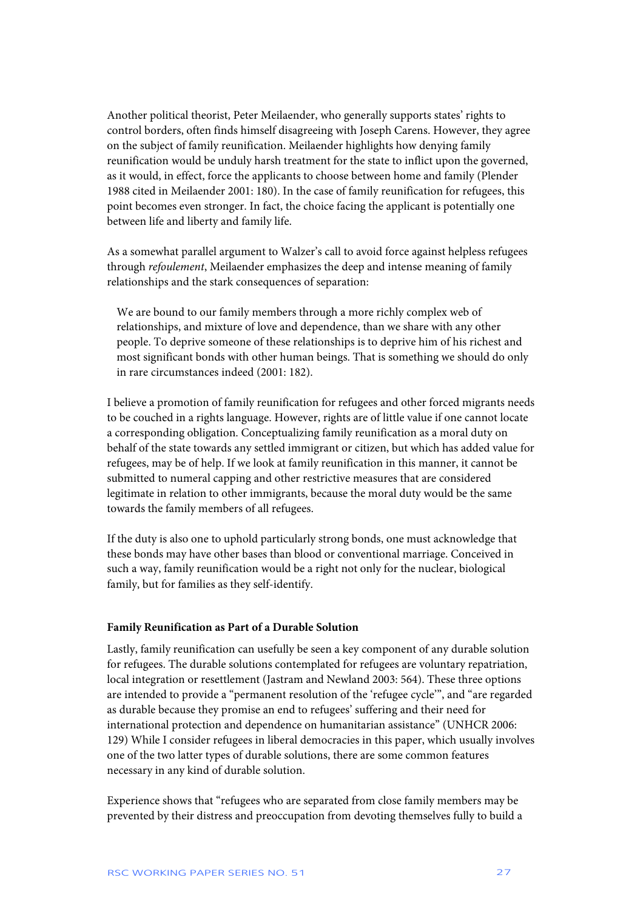Another political theorist, Peter Meilaender, who generally supports states' rights to control borders, often finds himself disagreeing with Joseph Carens. However, they agree on the subject of family reunification. Meilaender highlights how denying family reunification would be unduly harsh treatment for the state to inflict upon the governed, as it would, in effect, force the applicants to choose between home and family (Plender 1988 cited in Meilaender 2001: 180). In the case of family reunification for refugees, this point becomes even stronger. In fact, the choice facing the applicant is potentially one between life and liberty and family life.

As a somewhat parallel argument to Walzer's call to avoid force against helpless refugees through *refoulement*, Meilaender emphasizes the deep and intense meaning of family relationships and the stark consequences of separation:

We are bound to our family members through a more richly complex web of relationships, and mixture of love and dependence, than we share with any other people. To deprive someone of these relationships is to deprive him of his richest and most significant bonds with other human beings. That is something we should do only in rare circumstances indeed (2001: 182).

I believe a promotion of family reunification for refugees and other forced migrants needs to be couched in a rights language. However, rights are of little value if one cannot locate a corresponding obligation. Conceptualizing family reunification as a moral duty on behalf of the state towards any settled immigrant or citizen, but which has added value for refugees, may be of help. If we look at family reunification in this manner, it cannot be submitted to numeral capping and other restrictive measures that are considered legitimate in relation to other immigrants, because the moral duty would be the same towards the family members of all refugees.

If the duty is also one to uphold particularly strong bonds, one must acknowledge that these bonds may have other bases than blood or conventional marriage. Conceived in such a way, family reunification would be a right not only for the nuclear, biological family, but for families as they self-identify.

## **Family Reunification as Part of a Durable Solution**

Lastly, family reunification can usefully be seen a key component of any durable solution for refugees. The durable solutions contemplated for refugees are voluntary repatriation, local integration or resettlement (Jastram and Newland 2003: 564). These three options are intended to provide a "permanent resolution of the 'refugee cycle'", and "are regarded as durable because they promise an end to refugees' suffering and their need for international protection and dependence on humanitarian assistance" (UNHCR 2006: 129) While I consider refugees in liberal democracies in this paper, which usually involves one of the two latter types of durable solutions, there are some common features necessary in any kind of durable solution.

Experience shows that "refugees who are separated from close family members may be prevented by their distress and preoccupation from devoting themselves fully to build a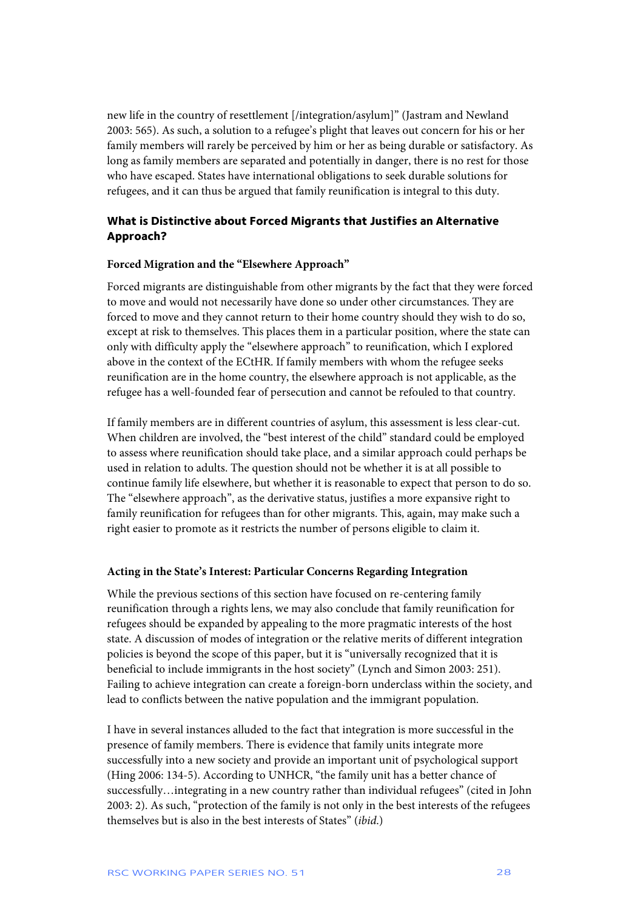new life in the country of resettlement [/integration/asylum]" (Jastram and Newland 2003: 565). As such, a solution to a refugee's plight that leaves out concern for his or her family members will rarely be perceived by him or her as being durable or satisfactory. As long as family members are separated and potentially in danger, there is no rest for those who have escaped. States have international obligations to seek durable solutions for refugees, and it can thus be argued that family reunification is integral to this duty.

## **What is Distinctive about Forced Migrants that Justifies an Alternative Approach?**

## **Forced Migration and the "Elsewhere Approach"**

Forced migrants are distinguishable from other migrants by the fact that they were forced to move and would not necessarily have done so under other circumstances. They are forced to move and they cannot return to their home country should they wish to do so, except at risk to themselves. This places them in a particular position, where the state can only with difficulty apply the "elsewhere approach" to reunification, which I explored above in the context of the ECtHR. If family members with whom the refugee seeks reunification are in the home country, the elsewhere approach is not applicable, as the refugee has a well-founded fear of persecution and cannot be refouled to that country.

If family members are in different countries of asylum, this assessment is less clear-cut. When children are involved, the "best interest of the child" standard could be employed to assess where reunification should take place, and a similar approach could perhaps be used in relation to adults. The question should not be whether it is at all possible to continue family life elsewhere, but whether it is reasonable to expect that person to do so. The "elsewhere approach", as the derivative status, justifies a more expansive right to family reunification for refugees than for other migrants. This, again, may make such a right easier to promote as it restricts the number of persons eligible to claim it.

### **Acting in the State's Interest: Particular Concerns Regarding Integration**

While the previous sections of this section have focused on re-centering family reunification through a rights lens, we may also conclude that family reunification for refugees should be expanded by appealing to the more pragmatic interests of the host state. A discussion of modes of integration or the relative merits of different integration policies is beyond the scope of this paper, but it is "universally recognized that it is beneficial to include immigrants in the host society" (Lynch and Simon 2003: 251). Failing to achieve integration can create a foreign-born underclass within the society, and lead to conflicts between the native population and the immigrant population.

I have in several instances alluded to the fact that integration is more successful in the presence of family members. There is evidence that family units integrate more successfully into a new society and provide an important unit of psychological support (Hing 2006: 134-5). According to UNHCR, "the family unit has a better chance of successfully…integrating in a new country rather than individual refugees" (cited in John 2003: 2). As such, "protection of the family is not only in the best interests of the refugees themselves but is also in the best interests of States" (*ibid*.)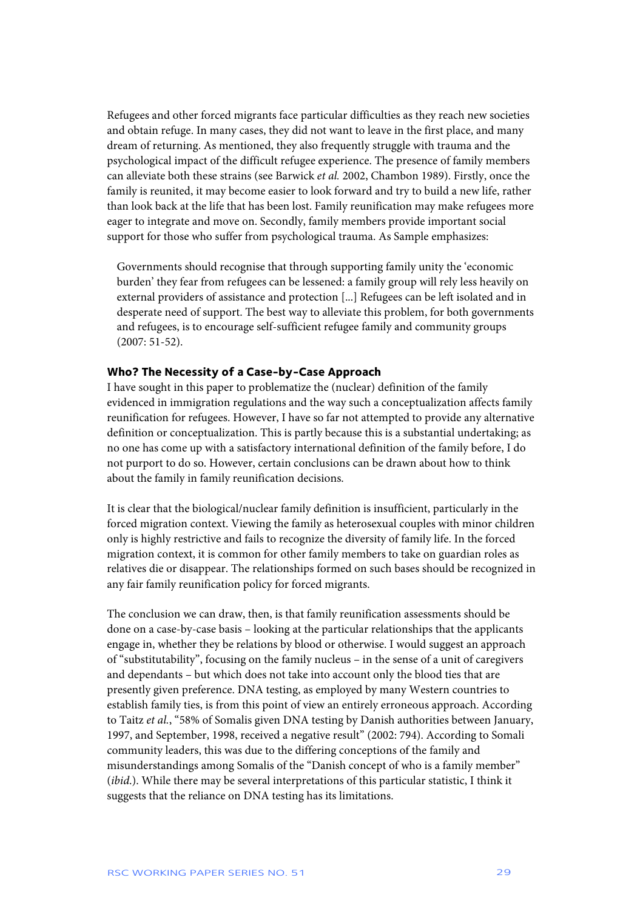Refugees and other forced migrants face particular difficulties as they reach new societies and obtain refuge. In many cases, they did not want to leave in the first place, and many dream of returning. As mentioned, they also frequently struggle with trauma and the psychological impact of the difficult refugee experience. The presence of family members can alleviate both these strains (see Barwick *et al.* 2002, Chambon 1989). Firstly, once the family is reunited, it may become easier to look forward and try to build a new life, rather than look back at the life that has been lost. Family reunification may make refugees more eager to integrate and move on. Secondly, family members provide important social support for those who suffer from psychological trauma. As Sample emphasizes:

Governments should recognise that through supporting family unity the 'economic burden' they fear from refugees can be lessened: a family group will rely less heavily on external providers of assistance and protection [...] Refugees can be left isolated and in desperate need of support. The best way to alleviate this problem, for both governments and refugees, is to encourage self-sufficient refugee family and community groups (2007: 51-52).

## **Who? The Necessity of a Case-by-Case Approach**

I have sought in this paper to problematize the (nuclear) definition of the family evidenced in immigration regulations and the way such a conceptualization affects family reunification for refugees. However, I have so far not attempted to provide any alternative definition or conceptualization. This is partly because this is a substantial undertaking; as no one has come up with a satisfactory international definition of the family before, I do not purport to do so. However, certain conclusions can be drawn about how to think about the family in family reunification decisions.

It is clear that the biological/nuclear family definition is insufficient, particularly in the forced migration context. Viewing the family as heterosexual couples with minor children only is highly restrictive and fails to recognize the diversity of family life. In the forced migration context, it is common for other family members to take on guardian roles as relatives die or disappear. The relationships formed on such bases should be recognized in any fair family reunification policy for forced migrants.

The conclusion we can draw, then, is that family reunification assessments should be done on a case-by-case basis – looking at the particular relationships that the applicants engage in, whether they be relations by blood or otherwise. I would suggest an approach of "substitutability", focusing on the family nucleus – in the sense of a unit of caregivers and dependants – but which does not take into account only the blood ties that are presently given preference. DNA testing, as employed by many Western countries to establish family ties, is from this point of view an entirely erroneous approach. According to Taitz *et al.*, "58% of Somalis given DNA testing by Danish authorities between January, 1997, and September, 1998, received a negative result" (2002: 794). According to Somali community leaders, this was due to the differing conceptions of the family and misunderstandings among Somalis of the "Danish concept of who is a family member" (*ibid*.). While there may be several interpretations of this particular statistic, I think it suggests that the reliance on DNA testing has its limitations.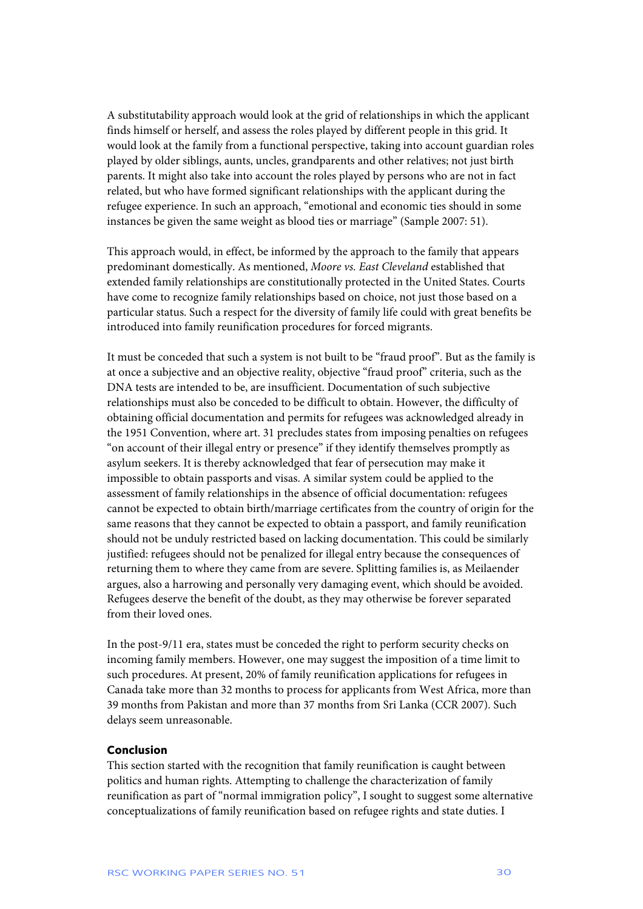A substitutability approach would look at the grid of relationships in which the applicant finds himself or herself, and assess the roles played by different people in this grid. It would look at the family from a functional perspective, taking into account guardian roles played by older siblings, aunts, uncles, grandparents and other relatives; not just birth parents. It might also take into account the roles played by persons who are not in fact related, but who have formed significant relationships with the applicant during the refugee experience. In such an approach, "emotional and economic ties should in some instances be given the same weight as blood ties or marriage" (Sample 2007: 51).

This approach would, in effect, be informed by the approach to the family that appears predominant domestically. As mentioned, *Moore vs. East Cleveland* established that extended family relationships are constitutionally protected in the United States. Courts have come to recognize family relationships based on choice, not just those based on a particular status. Such a respect for the diversity of family life could with great benefits be introduced into family reunification procedures for forced migrants.

It must be conceded that such a system is not built to be "fraud proof". But as the family is at once a subjective and an objective reality, objective "fraud proof" criteria, such as the DNA tests are intended to be, are insufficient. Documentation of such subjective relationships must also be conceded to be difficult to obtain. However, the difficulty of obtaining official documentation and permits for refugees was acknowledged already in the 1951 Convention, where art. 31 precludes states from imposing penalties on refugees "on account of their illegal entry or presence" if they identify themselves promptly as asylum seekers. It is thereby acknowledged that fear of persecution may make it impossible to obtain passports and visas. A similar system could be applied to the assessment of family relationships in the absence of official documentation: refugees cannot be expected to obtain birth/marriage certificates from the country of origin for the same reasons that they cannot be expected to obtain a passport, and family reunification should not be unduly restricted based on lacking documentation. This could be similarly justified: refugees should not be penalized for illegal entry because the consequences of returning them to where they came from are severe. Splitting families is, as Meilaender argues, also a harrowing and personally very damaging event, which should be avoided. Refugees deserve the benefit of the doubt, as they may otherwise be forever separated from their loved ones.

In the post-9/11 era, states must be conceded the right to perform security checks on incoming family members. However, one may suggest the imposition of a time limit to such procedures. At present, 20% of family reunification applications for refugees in Canada take more than 32 months to process for applicants from West Africa, more than 39 months from Pakistan and more than 37 months from Sri Lanka (CCR 2007). Such delays seem unreasonable.

## **Conclusion**

This section started with the recognition that family reunification is caught between politics and human rights. Attempting to challenge the characterization of family reunification as part of "normal immigration policy", I sought to suggest some alternative conceptualizations of family reunification based on refugee rights and state duties. I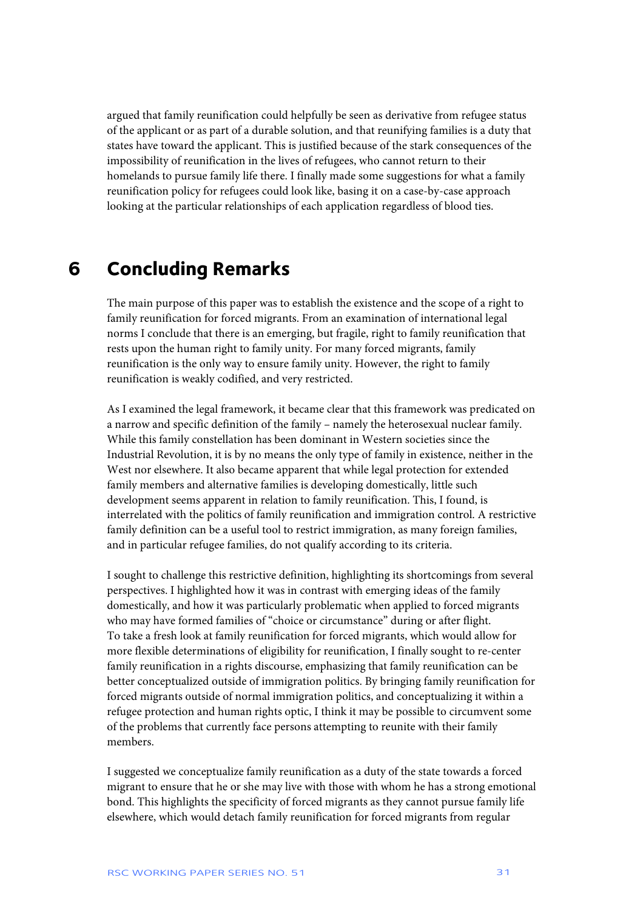argued that family reunification could helpfully be seen as derivative from refugee status of the applicant or as part of a durable solution, and that reunifying families is a duty that states have toward the applicant. This is justified because of the stark consequences of the impossibility of reunification in the lives of refugees, who cannot return to their homelands to pursue family life there. I finally made some suggestions for what a family reunification policy for refugees could look like, basing it on a case-by-case approach looking at the particular relationships of each application regardless of blood ties.

## **6 Concluding Remarks**

The main purpose of this paper was to establish the existence and the scope of a right to family reunification for forced migrants. From an examination of international legal norms I conclude that there is an emerging, but fragile, right to family reunification that rests upon the human right to family unity. For many forced migrants, family reunification is the only way to ensure family unity. However, the right to family reunification is weakly codified, and very restricted.

As I examined the legal framework, it became clear that this framework was predicated on a narrow and specific definition of the family – namely the heterosexual nuclear family. While this family constellation has been dominant in Western societies since the Industrial Revolution, it is by no means the only type of family in existence, neither in the West nor elsewhere. It also became apparent that while legal protection for extended family members and alternative families is developing domestically, little such development seems apparent in relation to family reunification. This, I found, is interrelated with the politics of family reunification and immigration control. A restrictive family definition can be a useful tool to restrict immigration, as many foreign families, and in particular refugee families, do not qualify according to its criteria.

I sought to challenge this restrictive definition, highlighting its shortcomings from several perspectives. I highlighted how it was in contrast with emerging ideas of the family domestically, and how it was particularly problematic when applied to forced migrants who may have formed families of "choice or circumstance" during or after flight. To take a fresh look at family reunification for forced migrants, which would allow for more flexible determinations of eligibility for reunification, I finally sought to re-center family reunification in a rights discourse, emphasizing that family reunification can be better conceptualized outside of immigration politics. By bringing family reunification for forced migrants outside of normal immigration politics, and conceptualizing it within a refugee protection and human rights optic, I think it may be possible to circumvent some of the problems that currently face persons attempting to reunite with their family members.

I suggested we conceptualize family reunification as a duty of the state towards a forced migrant to ensure that he or she may live with those with whom he has a strong emotional bond. This highlights the specificity of forced migrants as they cannot pursue family life elsewhere, which would detach family reunification for forced migrants from regular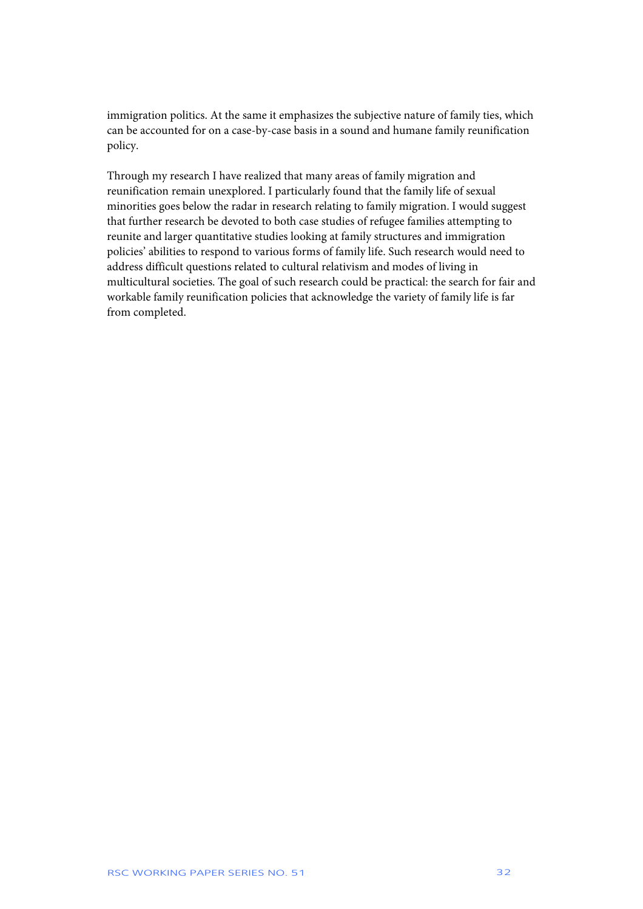immigration politics. At the same it emphasizes the subjective nature of family ties, which can be accounted for on a case-by-case basis in a sound and humane family reunification policy.

Through my research I have realized that many areas of family migration and reunification remain unexplored. I particularly found that the family life of sexual minorities goes below the radar in research relating to family migration. I would suggest that further research be devoted to both case studies of refugee families attempting to reunite and larger quantitative studies looking at family structures and immigration policies' abilities to respond to various forms of family life. Such research would need to address difficult questions related to cultural relativism and modes of living in multicultural societies. The goal of such research could be practical: the search for fair and workable family reunification policies that acknowledge the variety of family life is far from completed.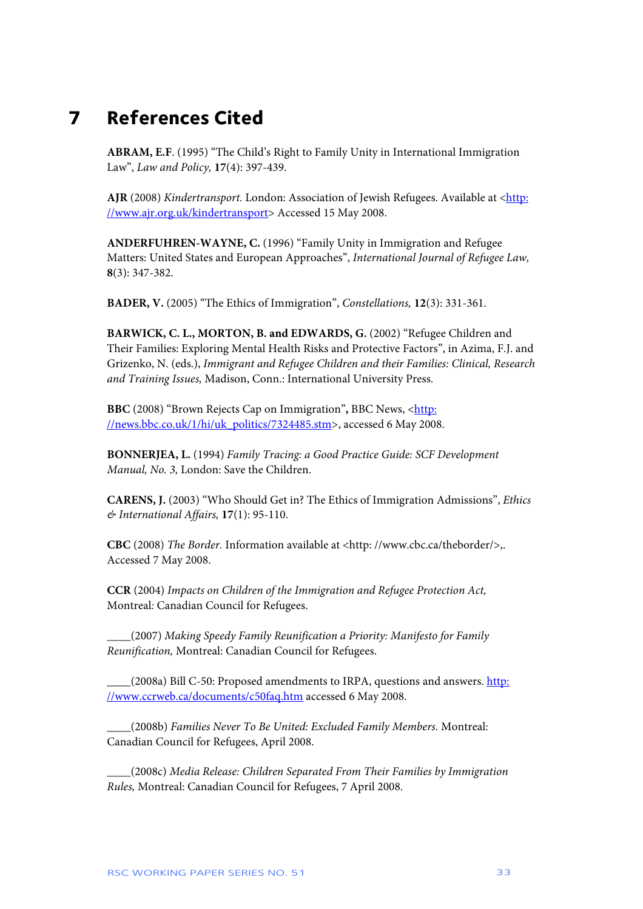## **7 References Cited**

**ABRAM, E.F**. (1995) "The Child's Right to Family Unity in International Immigration Law", *Law and Policy,* **17**(4): 397-439.

**AJR** (2008) *Kindertransport*. London: Association of Jewish Refugees. Available at <http: //www.ajr.org.uk/kindertransport> Accessed 15 May 2008.

**ANDERFUHREN-WAYNE, C.** (1996) "Family Unity in Immigration and Refugee Matters: United States and European Approaches", *International Journal of Refugee Law,*  **8**(3): 347-382.

**BADER, V.** (2005) "The Ethics of Immigration", *Constellations,* **12**(3): 331-361.

BARWICK, C. L., MORTON, B. and EDWARDS, G. (2002) "Refugee Children and Their Families: Exploring Mental Health Risks and Protective Factors", in Azima, F.J. and Grizenko, N. (eds.), *Immigrant and Refugee Children and their Families: Clinical, Research and Training Issues,* Madison, Conn.: International University Press.

**BBC** (2008) "Brown Rejects Cap on Immigration", BBC News, <http: //news.bbc.co.uk/1/hi/uk\_politics/7324485.stm>, accessed 6 May 2008.

**BONNERJEA, L.** (1994) *Family Tracing: a Good Practice Guide: SCF Development Manual, No. 3,* London: Save the Children.

**CARENS, J.** (2003) "Who Should Get in? The Ethics of Immigration Admissions", *Ethics & International Affairs,* **17**(1): 95-110.

**CBC** (2008) *The Border.* Information available at <http: //www.cbc.ca/theborder/>,. Accessed 7 May 2008.

**CCR** (2004) *Impacts on Children of the Immigration and Refugee Protection Act,*  Montreal*:* Canadian Council for Refugees.

**\_\_\_\_**(2007) *Making Speedy Family Reunification a Priority: Manifesto for Family Reunification,* Montreal: Canadian Council for Refugees.

\_\_\_\_(2008a) Bill C-50: Proposed amendments to IRPA, questions and answers. http: //www.ccrweb.ca/documents/c50faq.htm accessed 6 May 2008.

\_\_\_\_(2008b) *Families Never To Be United: Excluded Family Members.* Montreal: Canadian Council for Refugees, April 2008.

\_\_\_\_(2008c) *Media Release: Children Separated From Their Families by Immigration Rules,* Montreal: Canadian Council for Refugees, 7 April 2008.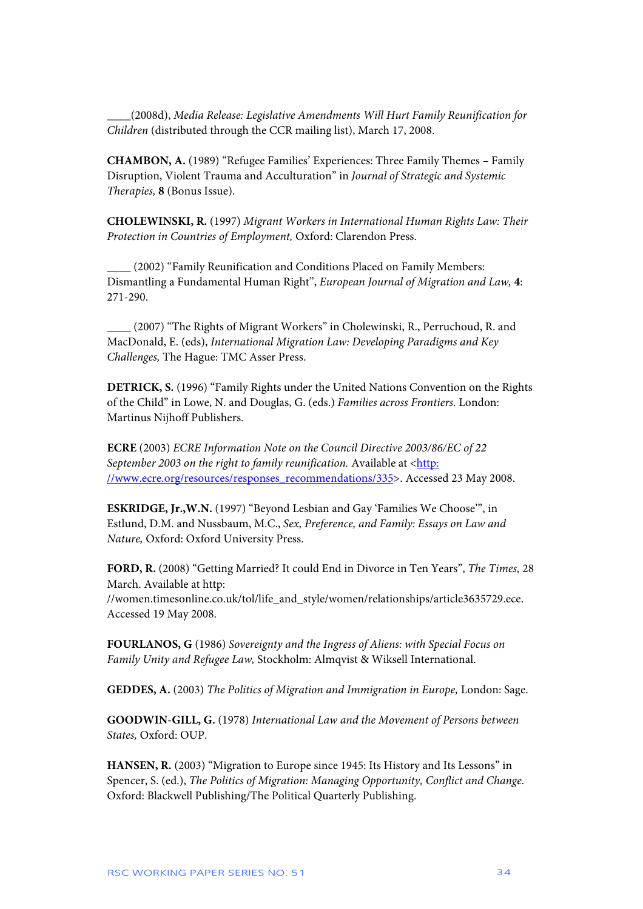\_\_\_\_(2008d), *Media Release: Legislative Amendments Will Hurt Family Reunification for Children* (distributed through the CCR mailing list), March 17, 2008.

**CHAMBON, A.** (1989) "Refugee Families' Experiences: Three Family Themes – Family Disruption, Violent Trauma and Acculturation" in *Journal of Strategic and Systemic Therapies,* **8** (Bonus Issue).

**CHOLEWINSKI, R.** (1997) *Migrant Workers in International Human Rights Law: Their Protection in Countries of Employment,* Oxford: Clarendon Press.

**\_\_\_\_** (2002) "Family Reunification and Conditions Placed on Family Members: Dismantling a Fundamental Human Right", *European Journal of Migration and Law,* **4**: 271-290.

**\_\_\_\_** (2007) "The Rights of Migrant Workers" in Cholewinski, R., Perruchoud, R. and MacDonald, E. (eds), *International Migration Law: Developing Paradigms and Key Challenges,* The Hague: TMC Asser Press.

**DETRICK, S.** (1996) "Family Rights under the United Nations Convention on the Rights of the Child" in Lowe, N. and Douglas, G. (eds.) *Families across Frontiers.* London: Martinus Nijhoff Publishers.

**ECRE** (2003) *ECRE Information Note on the Council Directive 2003/86/EC of 22 September 2003 on the right to family reunification.* Available at <http: //www.ecre.org/resources/responses\_recommendations/335>. Accessed 23 May 2008.

**ESKRIDGE, Jr.,W.N.** (1997) "Beyond Lesbian and Gay 'Families We Choose'", in Estlund, D.M. and Nussbaum, M.C., *Sex, Preference, and Family: Essays on Law and Nature,* Oxford: Oxford University Press.

**FORD, R.** (2008) "Getting Married? It could End in Divorce in Ten Years", *The Times,* 28 March. Available at http: //women.timesonline.co.uk/tol/life\_and\_style/women/relationships/article3635729.ece. Accessed 19 May 2008.

**FOURLANOS, G** (1986) *Sovereignty and the Ingress of Aliens: with Special Focus on Family Unity and Refugee Law,* Stockholm: Almqvist & Wiksell International.

**GEDDES, A.** (2003) *The Politics of Migration and Immigration in Europe,* London: Sage.

**GOODWIN-GILL, G.** (1978) *International Law and the Movement of Persons between States,* Oxford: OUP.

**HANSEN, R.** (2003) "Migration to Europe since 1945: Its History and Its Lessons" in Spencer, S. (ed.), *The Politics of Migration: Managing Opportunity, Conflict and Change.*  Oxford: Blackwell Publishing/The Political Quarterly Publishing.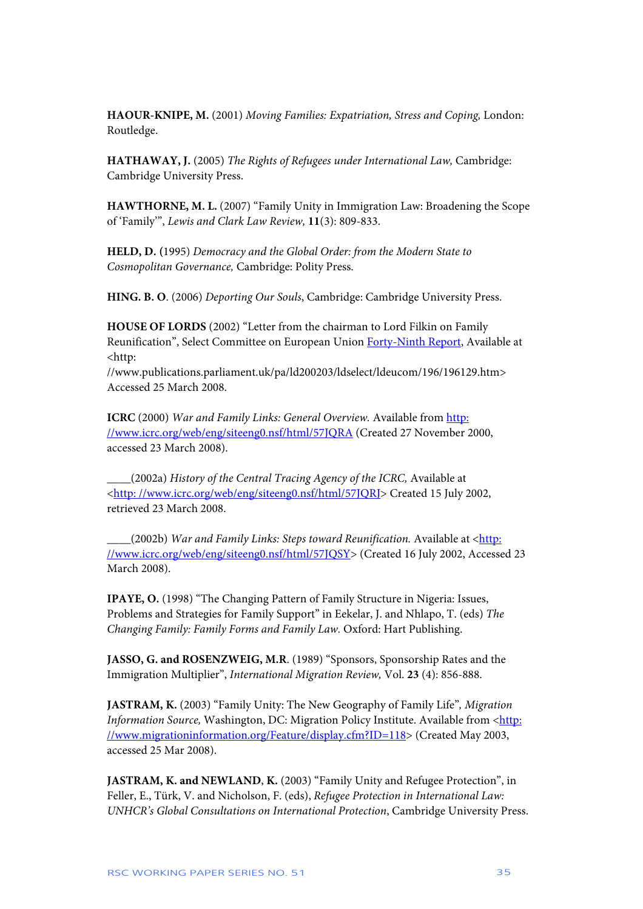**HAOUR-KNIPE, M.** (2001) *Moving Families: Expatriation, Stress and Coping,* London: Routledge.

**HATHAWAY, J.** (2005) *The Rights of Refugees under International Law,* Cambridge: Cambridge University Press.

**HAWTHORNE, M. L.** (2007) "Family Unity in Immigration Law: Broadening the Scope of 'Family'", *Lewis and Clark Law Review,* **11**(3): 809-833.

**HELD, D. (**1995) *Democracy and the Global Order: from the Modern State to Cosmopolitan Governance,* Cambridge: Polity Press.

**HING. B. O**. (2006) *Deporting Our Souls*, Cambridge: Cambridge University Press.

**HOUSE OF LORDS** (2002) "Letter from the chairman to Lord Filkin on Family Reunification", Select Committee on European Union Forty-Ninth Report, Available at <http:

//www.publications.parliament.uk/pa/ld200203/ldselect/ldeucom/196/196129.htm> Accessed 25 March 2008.

**ICRC** (2000) *War and Family Links: General Overview.* Available from http: //www.icrc.org/web/eng/siteeng0.nsf/html/57JQRA (Created 27 November 2000, accessed 23 March 2008).

**\_\_\_\_**(2002a) *History of the Central Tracing Agency of the ICRC,* Available at <http: //www.icrc.org/web/eng/siteeng0.nsf/html/57JQRJ> Created 15 July 2002, retrieved 23 March 2008.

**\_\_\_\_**(2002b) *War and Family Links: Steps toward Reunification.* Available at <http: //www.icrc.org/web/eng/siteeng0.nsf/html/57JQSY> (Created 16 July 2002, Accessed 23 March 2008).

**IPAYE, O.** (1998) "The Changing Pattern of Family Structure in Nigeria: Issues, Problems and Strategies for Family Support" in Eekelar, J. and Nhlapo, T. (eds) *The Changing Family: Family Forms and Family Law.* Oxford: Hart Publishing.

**JASSO, G. and ROSENZWEIG, M.R**. (1989) "Sponsors, Sponsorship Rates and the Immigration Multiplier", *International Migration Review,* Vol. **23** (4): 856-888.

**JASTRAM, K.** (2003) "Family Unity: The New Geography of Family Life"*, Migration Information Source, Washington, DC: Migration Policy Institute. Available from <http:* //www.migrationinformation.org/Feature/display.cfm?ID=118> (Created May 2003, accessed 25 Mar 2008).

**JASTRAM, K. and NEWLAND**, **K.** (2003) "Family Unity and Refugee Protection", in Feller, E., Türk, V. and Nicholson, F. (eds), *Refugee Protection in International Law: UNHCR's Global Consultations on International Protection*, Cambridge University Press.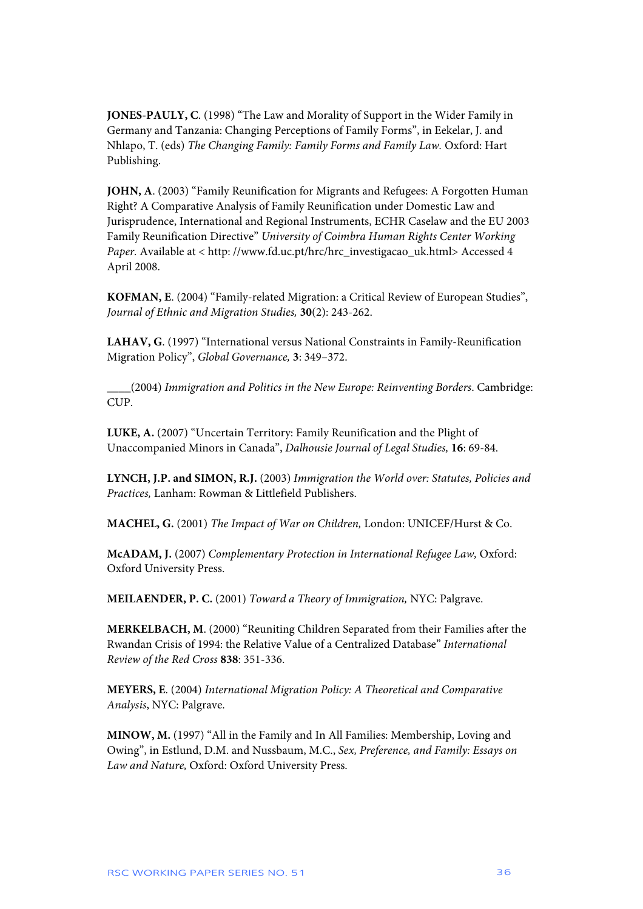**JONES-PAULY, C**. (1998) "The Law and Morality of Support in the Wider Family in Germany and Tanzania: Changing Perceptions of Family Forms", in Eekelar, J. and Nhlapo, T. (eds) *The Changing Family: Family Forms and Family Law.* Oxford: Hart Publishing.

**JOHN, A**. (2003) "Family Reunification for Migrants and Refugees: A Forgotten Human Right? A Comparative Analysis of Family Reunification under Domestic Law and Jurisprudence, International and Regional Instruments, ECHR Caselaw and the EU 2003 Family Reunification Directive" *University of Coimbra Human Rights Center Working Paper.* Available at < http://www.fd.uc.pt/hrc/hrc\_investigacao\_uk.html> Accessed 4 April 2008.

**KOFMAN, E**. (2004) "Family-related Migration: a Critical Review of European Studies", *Journal of Ethnic and Migration Studies,* **30**(2): 243-262.

**LAHAV, G**. (1997) "International versus National Constraints in Family-Reunification Migration Policy", *Global Governance,* **3**: 349–372.

**\_\_\_\_**(2004) *Immigration and Politics in the New Europe: Reinventing Borders*. Cambridge: CUP.

**LUKE, A.** (2007) "Uncertain Territory: Family Reunification and the Plight of Unaccompanied Minors in Canada", *Dalhousie Journal of Legal Studies,* **16**: 69-84.

**LYNCH, J.P. and SIMON, R.J.** (2003) *Immigration the World over: Statutes, Policies and Practices,* Lanham: Rowman & Littlefield Publishers.

**MACHEL, G.** (2001) *The Impact of War on Children,* London: UNICEF/Hurst & Co.

**McADAM, J.** (2007) *Complementary Protection in International Refugee Law,* Oxford: Oxford University Press.

**MEILAENDER, P. C.** (2001) *Toward a Theory of Immigration,* NYC: Palgrave.

**MERKELBACH, M**. (2000) "Reuniting Children Separated from their Families after the Rwandan Crisis of 1994: the Relative Value of a Centralized Database" *International Review of the Red Cross* **838**: 351-336.

**MEYERS, E**. (2004) *International Migration Policy: A Theoretical and Comparative Analysis*, NYC: Palgrave.

**MINOW, M.** (1997) "All in the Family and In All Families: Membership, Loving and Owing", in Estlund, D.M. and Nussbaum, M.C., *Sex, Preference, and Family: Essays on Law and Nature,* Oxford: Oxford University Press.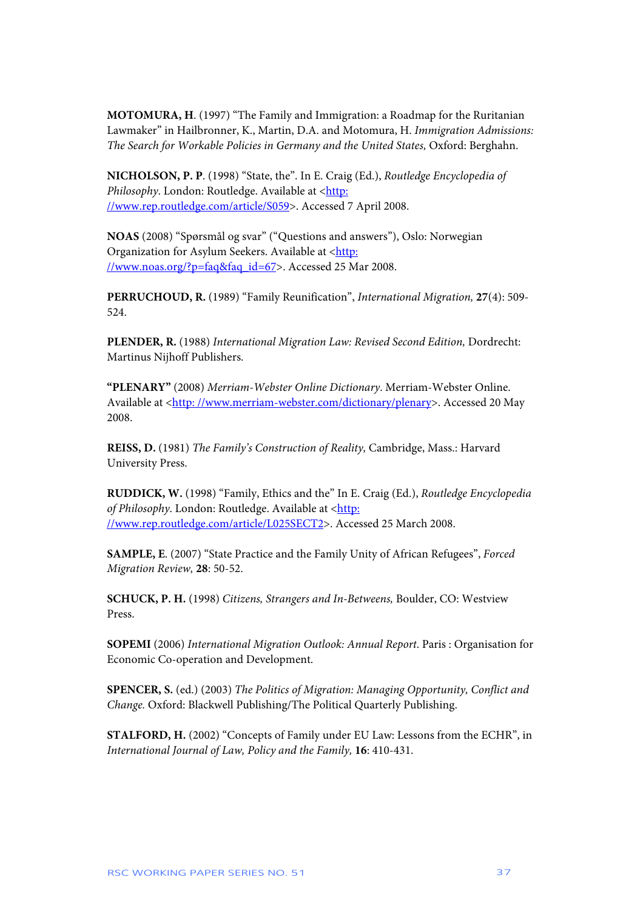**MOTOMURA, H**. (1997) "The Family and Immigration: a Roadmap for the Ruritanian Lawmaker" in Hailbronner, K., Martin, D.A. and Motomura, H. *Immigration Admissions: The Search for Workable Policies in Germany and the United States,* Oxford: Berghahn.

**NICHOLSON, P. P**. (1998) "State, the". In E. Craig (Ed.), *Routledge Encyclopedia of*  Philosophy. London: Routledge. Available at <http: //www.rep.routledge.com/article/S059>. Accessed 7 April 2008.

**NOAS** (2008) "Spørsmål og svar" ("Questions and answers"), Oslo: Norwegian Organization for Asylum Seekers. Available at <http: //www.noas.org/?p=faq&faq\_id=67>. Accessed 25 Mar 2008.

**PERRUCHOUD, R.** (1989) "Family Reunification", *International Migration,* **27**(4): 509- 524.

**PLENDER, R.** (1988) *International Migration Law: Revised Second Edition,* Dordrecht: Martinus Nijhoff Publishers.

**"PLENARY"** (2008) *Merriam-Webster Online Dictionary*. Merriam-Webster Online. Available at <http://www.merriam-webster.com/dictionary/plenary>. Accessed 20 May 2008.

**REISS, D.** (1981) *The Family's Construction of Reality,* Cambridge, Mass.: Harvard University Press.

**RUDDICK, W.** (1998) "Family, Ethics and the" In E. Craig (Ed.), *Routledge Encyclopedia*  of Philosophy. London: Routledge. Available at <http: //www.rep.routledge.com/article/L025SECT2>. Accessed 25 March 2008.

**SAMPLE, E**. (2007) "State Practice and the Family Unity of African Refugees", *Forced Migration Review,* **28**: 50-52.

**SCHUCK, P. H.** (1998) *Citizens, Strangers and In-Betweens,* Boulder, CO: Westview Press.

**SOPEMI** (2006) *International Migration Outlook: Annual Report*. Paris : Organisation for Economic Co-operation and Development.

**SPENCER, S.** (ed.) (2003) *The Politics of Migration: Managing Opportunity, Conflict and Change.* Oxford: Blackwell Publishing/The Political Quarterly Publishing.

**STALFORD, H.** (2002) "Concepts of Family under EU Law: Lessons from the ECHR", in *International Journal of Law, Policy and the Family,* **16**: 410-431.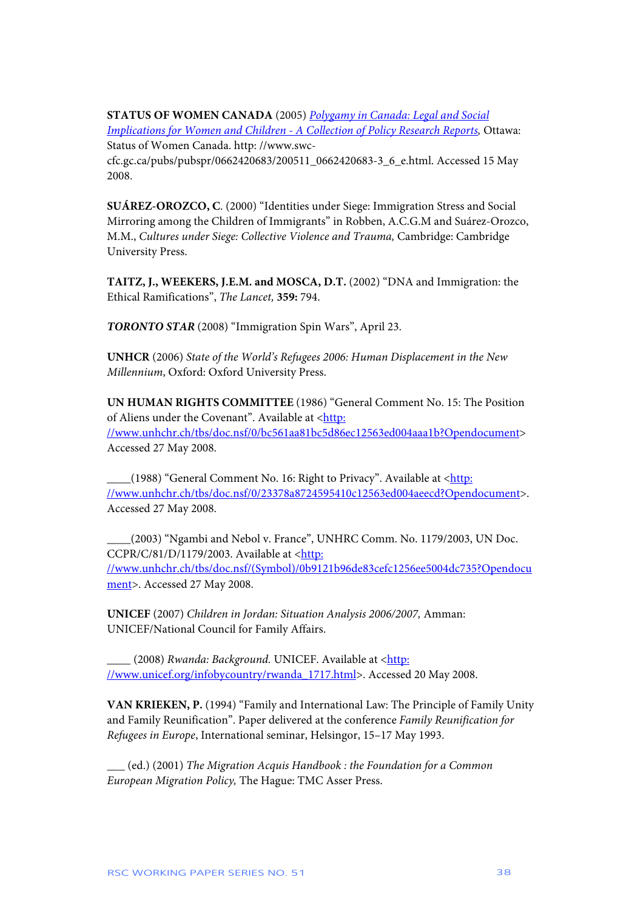**STATUS OF WOMEN CANADA** (2005) *Polygamy in Canada: Legal and Social Implications for Women and Children - A Collection of Policy Research Reports, Ottawa:* Status of Women Canada. http: //www.swccfc.gc.ca/pubs/pubspr/0662420683/200511\_0662420683-3\_6\_e.html. Accessed 15 May 2008.

**SUÁREZ-OROZCO, C**. (2000) "Identities under Siege: Immigration Stress and Social Mirroring among the Children of Immigrants" in Robben, A.C.G.M and Suárez-Orozco, M.M., *Cultures under Siege: Collective Violence and Trauma,* Cambridge: Cambridge University Press.

**TAITZ, J., WEEKERS, J.E.M. and MOSCA, D.T.** (2002) "DNA and Immigration: the Ethical Ramifications", *The Lancet,* **359:** 794.

*TORONTO STAR* (2008) "Immigration Spin Wars", April 23.

**UNHCR** (2006) *State of the World's Refugees 2006: Human Displacement in the New Millennium*, Oxford: Oxford University Press.

**UN HUMAN RIGHTS COMMITTEE** (1986) "General Comment No. 15: The Position of Aliens under the Covenant". Available at <http: //www.unhchr.ch/tbs/doc.nsf/0/bc561aa81bc5d86ec12563ed004aaa1b?Opendocument> Accessed 27 May 2008.

Let 1988) "General Comment No. 16: Right to Privacy". Available at <http: //www.unhchr.ch/tbs/doc.nsf/0/23378a8724595410c12563ed004aeecd?Opendocument>. Accessed 27 May 2008.

**\_\_\_\_**(2003) "Ngambi and Nebol v. France", UNHRC Comm. No. 1179/2003, UN Doc. CCPR/C/81/D/1179/2003. Available at <http: //www.unhchr.ch/tbs/doc.nsf/(Symbol)/0b9121b96de83cefc1256ee5004dc735?Opendocu ment>. Accessed 27 May 2008.

**UNICEF** (2007) *Children in Jordan: Situation Analysis 2006/2007,* Amman: UNICEF/National Council for Family Affairs.

(2008) *Rwanda: Background.* UNICEF. Available at <http: //www.unicef.org/infobycountry/rwanda\_1717.html>. Accessed 20 May 2008.

**VAN KRIEKEN, P.** (1994) "Family and International Law: The Principle of Family Unity and Family Reunification". Paper delivered at the conference *Family Reunification for Refugees in Europe*, International seminar, Helsingor, 15–17 May 1993.

**\_\_\_** (ed.) (2001) *The Migration Acquis Handbook : the Foundation for a Common European Migration Policy,* The Hague: TMC Asser Press.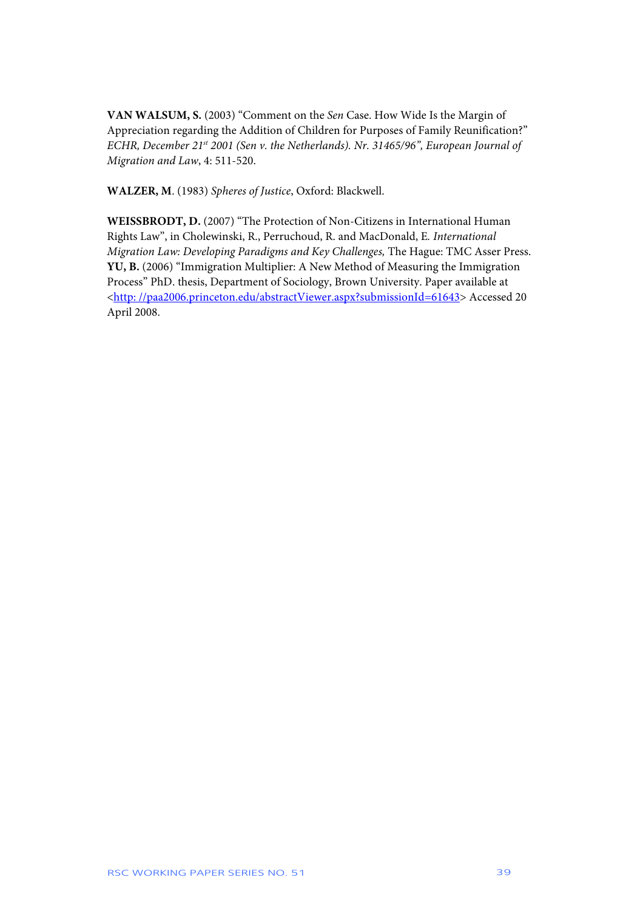**VAN WALSUM, S.** (2003) "Comment on the *Sen* Case. How Wide Is the Margin of Appreciation regarding the Addition of Children for Purposes of Family Reunification?" *ECHR, December 21st 2001 (Sen v. the Netherlands). Nr. 31465/96", European Journal of Migration and Law*, 4: 511-520.

**WALZER, M**. (1983) *Spheres of Justice*, Oxford: Blackwell.

**WEISSBRODT, D.** (2007) "The Protection of Non-Citizens in International Human Rights Law", in Cholewinski, R., Perruchoud, R. and MacDonald, E*. International Migration Law: Developing Paradigms and Key Challenges,* The Hague: TMC Asser Press. **YU, B.** (2006) "Immigration Multiplier: A New Method of Measuring the Immigration Process" PhD. thesis, Department of Sociology, Brown University. Paper available at <http: //paa2006.princeton.edu/abstractViewer.aspx?submissionId=61643> Accessed 20 April 2008.